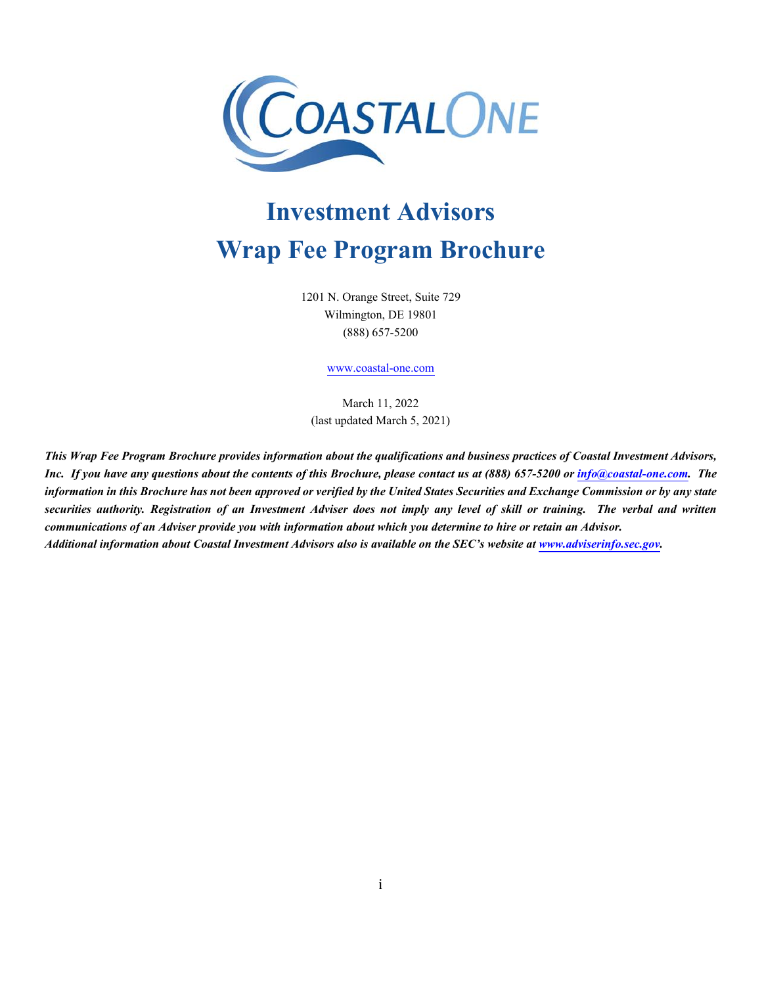

# **Investment Advisors Wrap Fee Program Brochure**

1201 N. Orange Street, Suite 729 Wilmington, DE 19801 (888) 657-5200

[www.coastal-one.com](http://www.coastal-one.com/)

March 11, 2022 (last updated March 5, 2021)

*This Wrap Fee Program Brochure provides information about the qualifications and business practices of Coastal Investment Advisors, Inc. If you have any questions about the contents of this Brochure, please contact us at (888) 657-5200 or [info@coastal-one.com.](mailto:info@coastal-one.com) The information in this Brochure has not been approved or verified by the United States Securities and Exchange Commission or by any state securities authority. Registration of an Investment Adviser does not imply any level of skill or training. The verbal and written communications of an Adviser provide you with information about which you determine to hire or retain an Advisor. Additional information about Coastal Investment Advisors also is available on the SEC's website at [www.adviserinfo.sec.gov.](http://www.adviserinfo.sec.gov/)*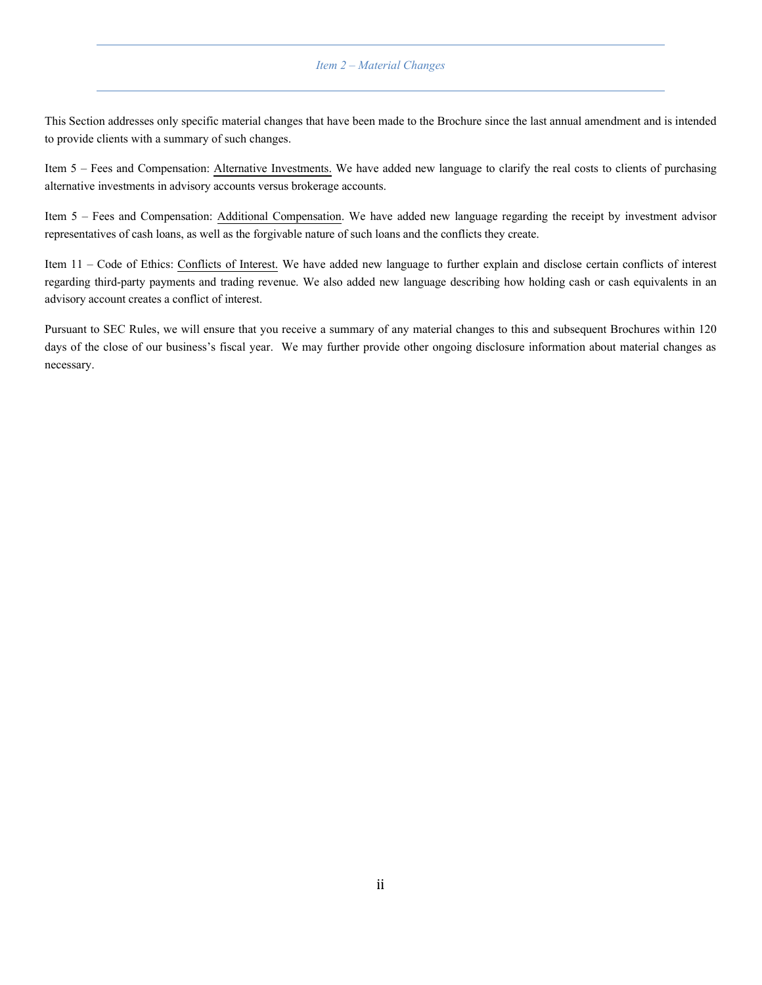#### *Item 2 – Material Changes*

<span id="page-1-0"></span>This Section addresses only specific material changes that have been made to the Brochure since the last annual amendment and is intended to provide clients with a summary of such changes.

Item 5 – Fees and Compensation: Alternative Investments. We have added new language to clarify the real costs to clients of purchasing alternative investments in advisory accounts versus brokerage accounts.

Item 5 – Fees and Compensation: Additional Compensation. We have added new language regarding the receipt by investment advisor representatives of cash loans, as well as the forgivable nature of such loans and the conflicts they create.

Item 11 – Code of Ethics: Conflicts of Interest. We have added new language to further explain and disclose certain conflicts of interest regarding third-party payments and trading revenue. We also added new language describing how holding cash or cash equivalents in an advisory account creates a conflict of interest.

Pursuant to SEC Rules, we will ensure that you receive a summary of any material changes to this and subsequent Brochures within 120 days of the close of our business's fiscal year. We may further provide other ongoing disclosure information about material changes as necessary.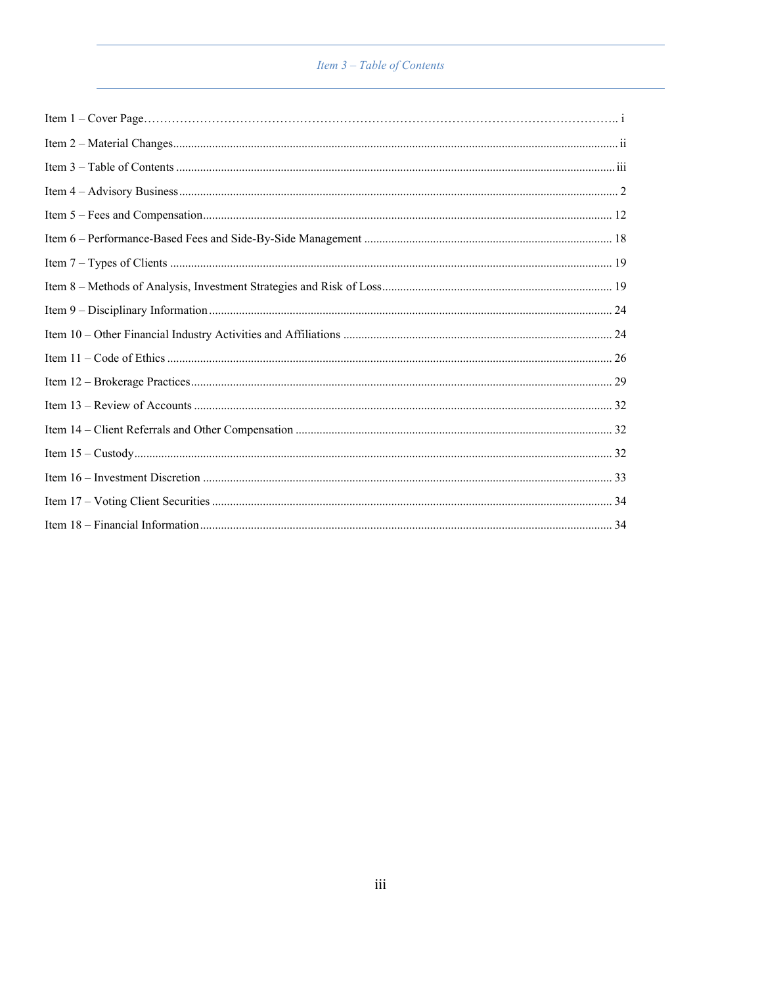# Item 3 – Table of Contents

<span id="page-2-1"></span><span id="page-2-0"></span>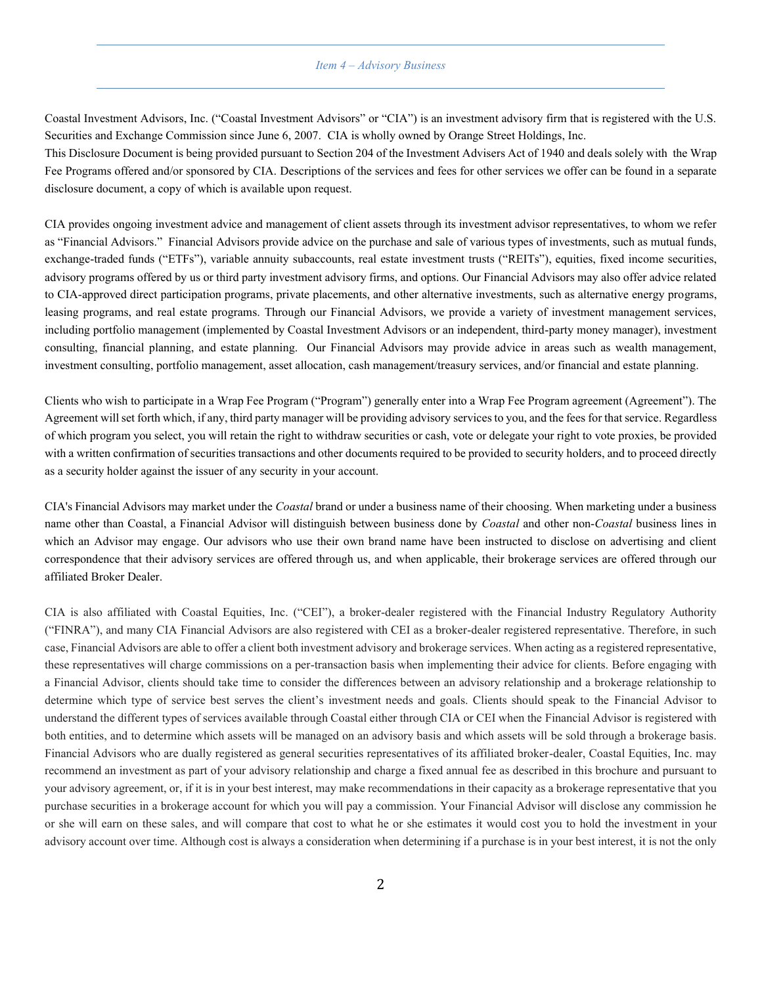#### *Item 4 – Advisory Business*

Coastal Investment Advisors, Inc. ("Coastal Investment Advisors" or "CIA") is an investment advisory firm that is registered with the U.S. Securities and Exchange Commission since June 6, 2007. CIA is wholly owned by Orange Street Holdings, Inc.

This Disclosure Document is being provided pursuant to Section 204 of the Investment Advisers Act of 1940 and deals solely with the Wrap Fee Programs offered and/or sponsored by CIA. Descriptions of the services and fees for other services we offer can be found in a separate disclosure document, a copy of which is available upon request.

CIA provides ongoing investment advice and management of client assets through its investment advisor representatives, to whom we refer as "Financial Advisors." Financial Advisors provide advice on the purchase and sale of various types of investments, such as mutual funds, exchange-traded funds ("ETFs"), variable annuity subaccounts, real estate investment trusts ("REITs"), equities, fixed income securities, advisory programs offered by us or third party investment advisory firms, and options. Our Financial Advisors may also offer advice related to CIA-approved direct participation programs, private placements, and other alternative investments, such as alternative energy programs, leasing programs, and real estate programs. Through our Financial Advisors, we provide a variety of investment management services, including portfolio management (implemented by Coastal Investment Advisors or an independent, third-party money manager), investment consulting, financial planning, and estate planning. Our Financial Advisors may provide advice in areas such as wealth management, investment consulting, portfolio management, asset allocation, cash management/treasury services, and/or financial and estate planning.

Clients who wish to participate in a Wrap Fee Program ("Program") generally enter into a Wrap Fee Program agreement (Agreement"). The Agreement will set forth which, if any, third party manager will be providing advisory services to you, and the fees for that service. Regardless of which program you select, you will retain the right to withdraw securities or cash, vote or delegate your right to vote proxies, be provided with a written confirmation of securities transactions and other documents required to be provided to security holders, and to proceed directly as a security holder against the issuer of any security in your account.

CIA's Financial Advisors may market under the *Coastal* brand or under a business name of their choosing. When marketing under a business name other than Coastal, a Financial Advisor will distinguish between business done by *Coastal* and other non-*Coastal* business lines in which an Advisor may engage. Our advisors who use their own brand name have been instructed to disclose on advertising and client correspondence that their advisory services are offered through us, and when applicable, their brokerage services are offered through our affiliated Broker Dealer.

CIA is also affiliated with Coastal Equities, Inc. ("CEI"), a broker-dealer registered with the Financial Industry Regulatory Authority ("FINRA"), and many CIA Financial Advisors are also registered with CEI as a broker-dealer registered representative. Therefore, in such case, Financial Advisors are ableto offer a client both investment advisory and brokerage services. When acting as a registered representative, these representatives will charge commissions on a per-transaction basis when implementing their advice for clients. Before engaging with a Financial Advisor, clients should take time to consider the differences between an advisory relationship and a brokerage relationship to determine which type of service best serves the client's investment needs and goals. Clients should speak to the Financial Advisor to understand the different types of services available through Coastal either through CIA or CEI when the Financial Advisor is registered with both entities, and to determine which assets will be managed on an advisory basis and which assets will be sold through a brokerage basis. Financial Advisors who are dually registered as general securities representatives of its affiliated broker-dealer, Coastal Equities, Inc. may recommend an investment as part of your advisory relationship and charge a fixed annual fee as described in this brochure and pursuant to your advisory agreement, or, if it is in your best interest, may make recommendations in their capacity as a brokerage representative that you purchase securities in a brokerage account for which you will pay a commission. Your Financial Advisor will disclose any commission he or she will earn on these sales, and will compare that cost to what he or she estimates it would cost you to hold the investment in your advisory account over time. Although cost is always a consideration when determining if a purchase is in your best interest, it is not the only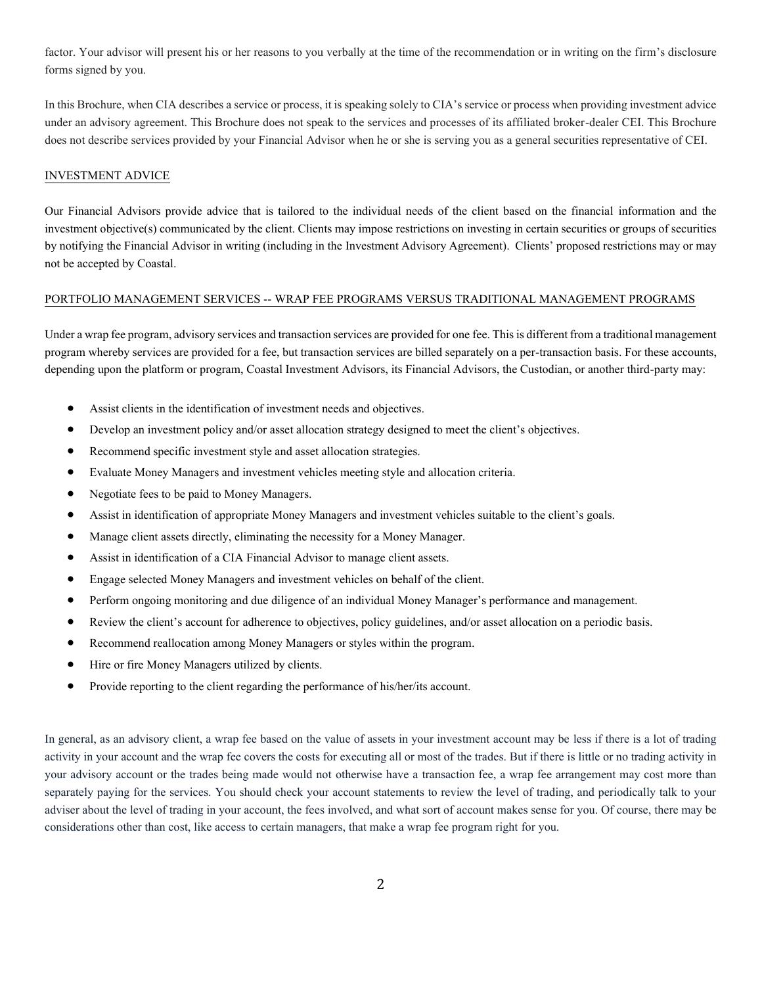factor. Your advisor will present his or her reasons to you verbally at the time of the recommendation or in writing on the firm's disclosure forms signed by you.

In this Brochure, when CIA describes a service or process, it is speaking solely to CIA's service or process when providing investment advice under an advisory agreement. This Brochure does not speak to the services and processes of its affiliated broker-dealer CEI. This Brochure does not describe services provided by your Financial Advisor when he or she is serving you as a general securities representative of CEI.

#### INVESTMENT ADVICE

Our Financial Advisors provide advice that is tailored to the individual needs of the client based on the financial information and the investment objective(s) communicated by the client. Clients may impose restrictions on investing in certain securities or groups of securities by notifying the Financial Advisor in writing (including in the Investment Advisory Agreement). Clients' proposed restrictions may or may not be accepted by Coastal.

#### PORTFOLIO MANAGEMENT SERVICES -- WRAP FEE PROGRAMS VERSUS TRADITIONAL MANAGEMENT PROGRAMS

Under a wrap fee program, advisory services and transaction services are provided for onefee. This is different from a traditional management program whereby services are provided for a fee, but transaction services are billed separately on a per-transaction basis. For these accounts, depending upon the platform or program, Coastal Investment Advisors, its Financial Advisors, the Custodian, or another third-party may:

- Assist clients in the identification of investment needs and objectives.
- Develop an investment policy and/or asset allocation strategy designed to meet the client's objectives.
- Recommend specific investment style and asset allocation strategies.
- Evaluate Money Managers and investment vehicles meeting style and allocation criteria.
- Negotiate fees to be paid to Money Managers.
- Assist in identification of appropriate Money Managers and investment vehicles suitable to the client's goals.
- Manage client assets directly, eliminating the necessity for a Money Manager.
- Assist in identification of a CIA Financial Advisor to manage client assets.
- Engage selected Money Managers and investment vehicles on behalf of the client.
- Perform ongoing monitoring and due diligence of an individual Money Manager's performance and management.
- Review the client's account for adherence to objectives, policy guidelines, and/or asset allocation on a periodic basis.
- Recommend reallocation among Money Managers or styles within the program.
- Hire or fire Money Managers utilized by clients.
- Provide reporting to the client regarding the performance of his/her/its account.

In general, as an advisory client, a wrap fee based on the value of assets in your investment account may be less if there is a lot of trading activity in your account and the wrap fee covers the costs for executing all or most of the trades. But if there is little or no trading activity in your advisory account or the trades being made would not otherwise have a transaction fee, a wrap fee arrangement may cost more than separately paying for the services. You should check your account statements to review the level of trading, and periodically talk to your adviser about the level of trading in your account, the fees involved, and what sort of account makes sense for you. Of course, there may be considerations other than cost, like access to certain managers, that make a wrap fee program right for you.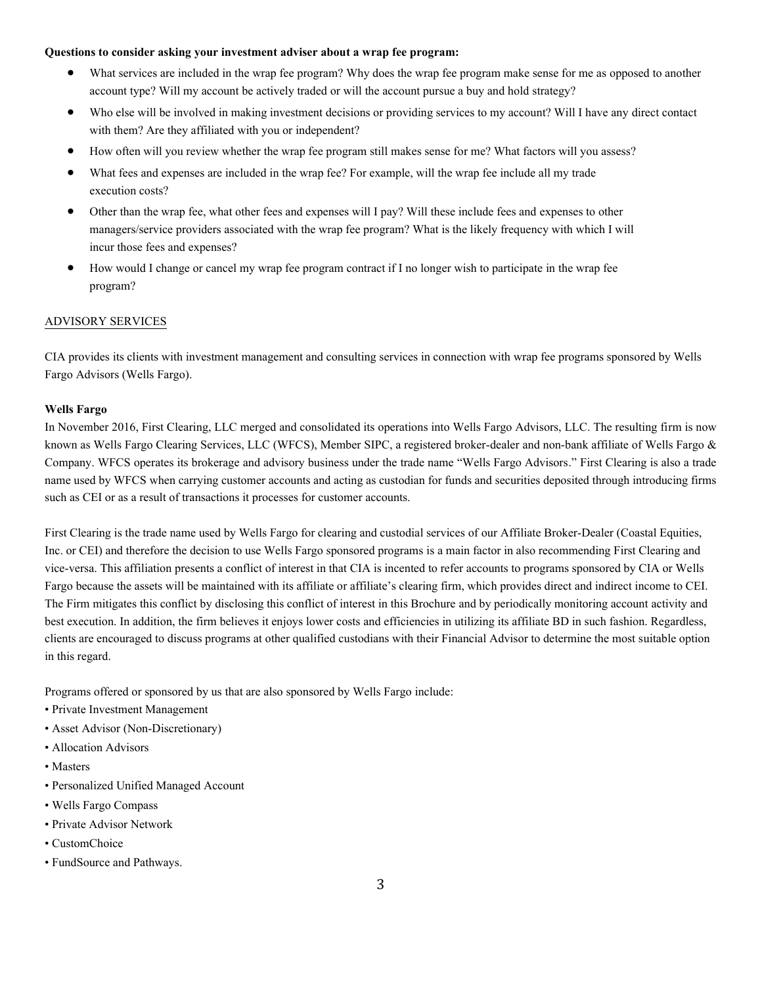#### **Questions to consider asking your investment adviser about a wrap fee program:**

- What services are included in the wrap fee program? Why does the wrap fee program make sense for me as opposed to another account type? Will my account be actively traded or will the account pursue a buy and hold strategy?
- Who else will be involved in making investment decisions or providing services to my account? Will I have any direct contact with them? Are they affiliated with you or independent?
- How often will you review whether the wrap fee program still makes sense for me? What factors will you assess?
- What fees and expenses are included in the wrap fee? For example, will the wrap fee include all my trade execution costs?
- Other than the wrap fee, what other fees and expenses will I pay? Will these include fees and expenses to other managers/service providers associated with the wrap fee program? What is the likely frequency with which I will incur those fees and expenses?
- How would I change or cancel my wrap fee program contract if I no longer wish to participate in the wrap fee program?

# ADVISORY SERVICES

CIA provides its clients with investment management and consulting services in connection with wrap fee programs sponsored by Wells Fargo Advisors (Wells Fargo).

### **Wells Fargo**

In November 2016, First Clearing, LLC merged and consolidated its operations into Wells Fargo Advisors, LLC. The resulting firm is now known as Wells Fargo Clearing Services, LLC (WFCS), Member SIPC, a registered broker-dealer and non-bank affiliate of Wells Fargo & Company. WFCS operates its brokerage and advisory business under the trade name "Wells Fargo Advisors." First Clearing is also a trade name used by WFCS when carrying customer accounts and acting as custodian for funds and securities deposited through introducing firms such as CEI or as a result of transactions it processes for customer accounts.

First Clearing is the trade name used by Wells Fargo for clearing and custodial services of our Affiliate Broker-Dealer (Coastal Equities, Inc. or CEI) and therefore the decision to use Wells Fargo sponsored programs is a main factor in also recommending First Clearing and vice-versa. This affiliation presents a conflict of interest in that CIA is incented to refer accounts to programs sponsored by CIA or Wells Fargo because the assets will be maintained with its affiliate or affiliate's clearing firm, which provides direct and indirect income to CEI. The Firm mitigates this conflict by disclosing this conflict of interest in this Brochure and by periodically monitoring account activity and best execution. In addition, the firm believes it enjoys lower costs and efficiencies in utilizing its affiliate BD in such fashion. Regardless, clients are encouraged to discuss programs at other qualified custodians with their Financial Advisor to determine the most suitable option in this regard.

Programs offered or sponsored by us that are also sponsored by Wells Fargo include:

- Private Investment Management
- Asset Advisor (Non-Discretionary)
- Allocation Advisors
- Masters
- Personalized Unified Managed Account
- Wells Fargo Compass
- Private Advisor Network
- CustomChoice
- FundSource and Pathways.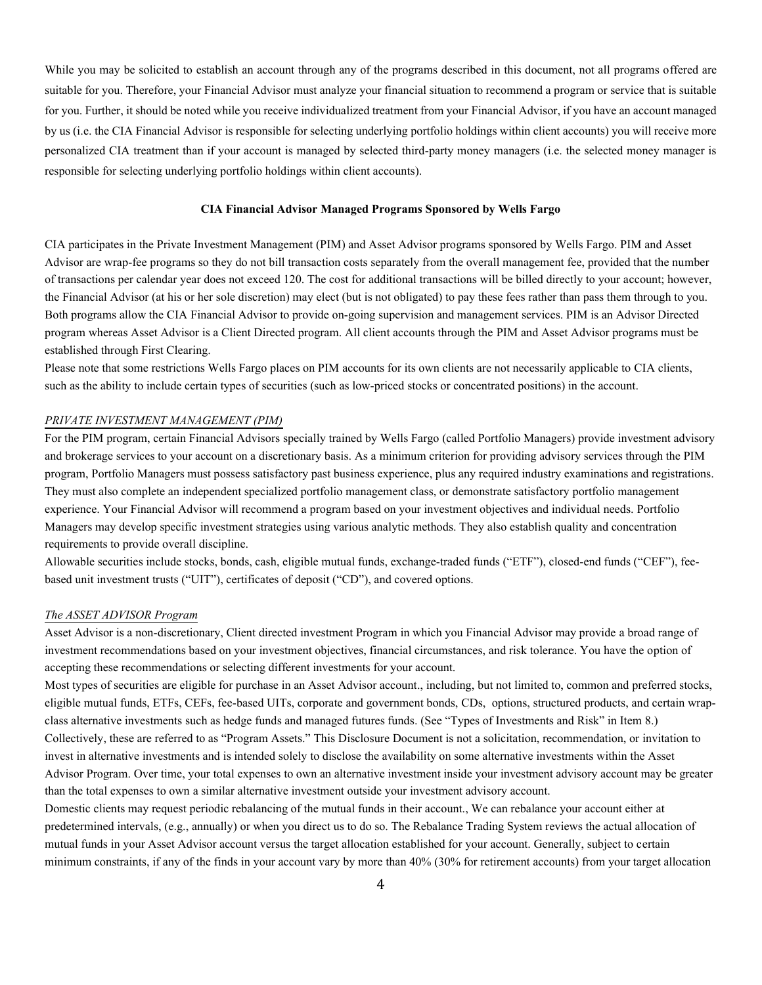While you may be solicited to establish an account through any of the programs described in this document, not all programs offered are suitable for you. Therefore, your Financial Advisor must analyze your financial situation to recommend a program or service that is suitable for you. Further, it should be noted while you receive individualized treatment from your Financial Advisor, if you have an account managed by us (i.e. the CIA Financial Advisor is responsible for selecting underlying portfolio holdings within client accounts) you will receive more personalized CIA treatment than if your account is managed by selected third-party money managers (i.e. the selected money manager is responsible for selecting underlying portfolio holdings within client accounts).

#### **CIA Financial Advisor Managed Programs Sponsored by Wells Fargo**

CIA participates in the Private Investment Management (PIM) and Asset Advisor programs sponsored by Wells Fargo. PIM and Asset Advisor are wrap-fee programs so they do not bill transaction costs separately from the overall management fee, provided that the number of transactions per calendar year does not exceed 120. The cost for additional transactions will be billed directly to your account; however, the Financial Advisor (at his or her sole discretion) may elect (but is not obligated) to pay these fees rather than pass them through to you. Both programs allow the CIA Financial Advisor to provide on-going supervision and management services. PIM is an Advisor Directed program whereas Asset Advisor is a Client Directed program. All client accounts through the PIM and Asset Advisor programs must be established through First Clearing.

Please note that some restrictions Wells Fargo places on PIM accounts for its own clients are not necessarily applicable to CIA clients, such as the ability to include certain types of securities (such as low-priced stocks or concentrated positions) in the account.

#### *PRIVATE INVESTMENT MANAGEMENT (PIM)*

For the PIM program, certain Financial Advisors specially trained by Wells Fargo (called Portfolio Managers) provide investment advisory and brokerage services to your account on a discretionary basis. As a minimum criterion for providing advisory services through the PIM program, Portfolio Managers must possess satisfactory past business experience, plus any required industry examinations and registrations. They must also complete an independent specialized portfolio management class, or demonstrate satisfactory portfolio management experience. Your Financial Advisor will recommend a program based on your investment objectives and individual needs. Portfolio Managers may develop specific investment strategies using various analytic methods. They also establish quality and concentration requirements to provide overall discipline.

Allowable securities include stocks, bonds, cash, eligible mutual funds, exchange-traded funds ("ETF"), closed-end funds ("CEF"), feebased unit investment trusts ("UIT"), certificates of deposit ("CD"), and covered options.

# *The ASSET ADVISOR Program*

Asset Advisor is a non-discretionary, Client directed investment Program in which you Financial Advisor may provide a broad range of investment recommendations based on your investment objectives, financial circumstances, and risk tolerance. You have the option of accepting these recommendations or selecting different investments for your account.

Most types of securities are eligible for purchase in an Asset Advisor account., including, but not limited to, common and preferred stocks, eligible mutual funds, ETFs, CEFs, fee-based UITs, corporate and government bonds, CDs, options, structured products, and certain wrapclass alternative investments such as hedge funds and managed futures funds. (See "Types of Investments and Risk" in Item 8.) Collectively, these are referred to as "Program Assets." This Disclosure Document is not a solicitation, recommendation, or invitation to invest in alternative investments and is intended solely to disclose the availability on some alternative investments within the Asset Advisor Program. Over time, your total expenses to own an alternative investment inside your investment advisory account may be greater than the total expenses to own a similar alternative investment outside your investment advisory account.

Domestic clients may request periodic rebalancing of the mutual funds in their account., We can rebalance your account either at predetermined intervals, (e.g., annually) or when you direct us to do so. The Rebalance Trading System reviews the actual allocation of mutual funds in your Asset Advisor account versus the target allocation established for your account. Generally, subject to certain minimum constraints, if any of the finds in your account vary by more than 40% (30% for retirement accounts) from your target allocation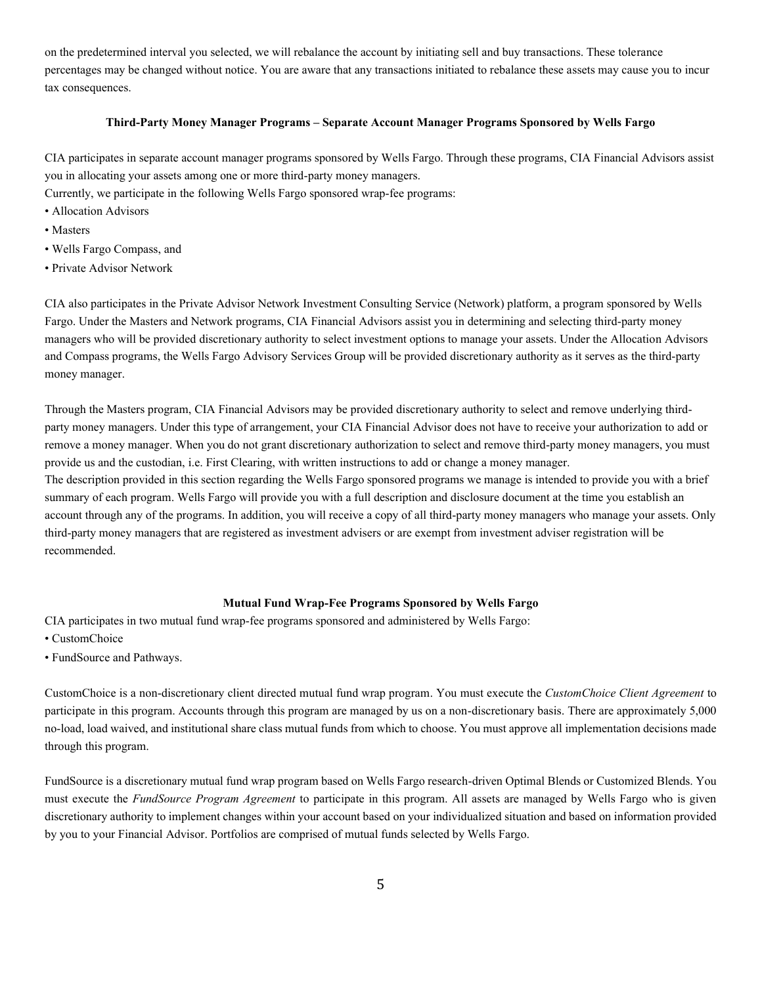on the predetermined interval you selected, we will rebalance the account by initiating sell and buy transactions. These tolerance percentages may be changed without notice. You are aware that any transactions initiated to rebalance these assets may cause you to incur tax consequences.

# **Third-Party Money Manager Programs – Separate Account Manager Programs Sponsored by Wells Fargo**

CIA participates in separate account manager programs sponsored by Wells Fargo. Through these programs, CIA Financial Advisors assist you in allocating your assets among one or more third-party money managers.

Currently, we participate in the following Wells Fargo sponsored wrap-fee programs:

- Allocation Advisors
- Masters
- Wells Fargo Compass, and
- Private Advisor Network

CIA also participates in the Private Advisor Network Investment Consulting Service (Network) platform, a program sponsored by Wells Fargo. Under the Masters and Network programs, CIA Financial Advisors assist you in determining and selecting third-party money managers who will be provided discretionary authority to select investment options to manage your assets. Under the Allocation Advisors and Compass programs, the Wells Fargo Advisory Services Group will be provided discretionary authority as it serves as the third-party money manager.

Through the Masters program, CIA Financial Advisors may be provided discretionary authority to select and remove underlying thirdparty money managers. Under this type of arrangement, your CIA Financial Advisor does not have to receive your authorization to add or remove a money manager. When you do not grant discretionary authorization to select and remove third-party money managers, you must provide us and the custodian, i.e. First Clearing, with written instructions to add or change a money manager.

The description provided in this section regarding the Wells Fargo sponsored programs we manage is intended to provide you with a brief summary of each program. Wells Fargo will provide you with a full description and disclosure document at the time you establish an account through any of the programs. In addition, you will receive a copy of all third-party money managers who manage your assets. Only third-party money managers that are registered as investment advisers or are exempt from investment adviser registration will be recommended.

# **Mutual Fund Wrap-Fee Programs Sponsored by Wells Fargo**

CIA participates in two mutual fund wrap-fee programs sponsored and administered by Wells Fargo:

- CustomChoice
- FundSource and Pathways.

CustomChoice is a non-discretionary client directed mutual fund wrap program. You must execute the *CustomChoice Client Agreement* to participate in this program. Accounts through this program are managed by us on a non-discretionary basis. There are approximately 5,000 no-load, load waived, and institutional share class mutual funds from which to choose. You must approve all implementation decisions made through this program.

FundSource is a discretionary mutual fund wrap program based on Wells Fargo research-driven Optimal Blends or Customized Blends. You must execute the *FundSource Program Agreement* to participate in this program. All assets are managed by Wells Fargo who is given discretionary authority to implement changes within your account based on your individualized situation and based on information provided by you to your Financial Advisor. Portfolios are comprised of mutual funds selected by Wells Fargo.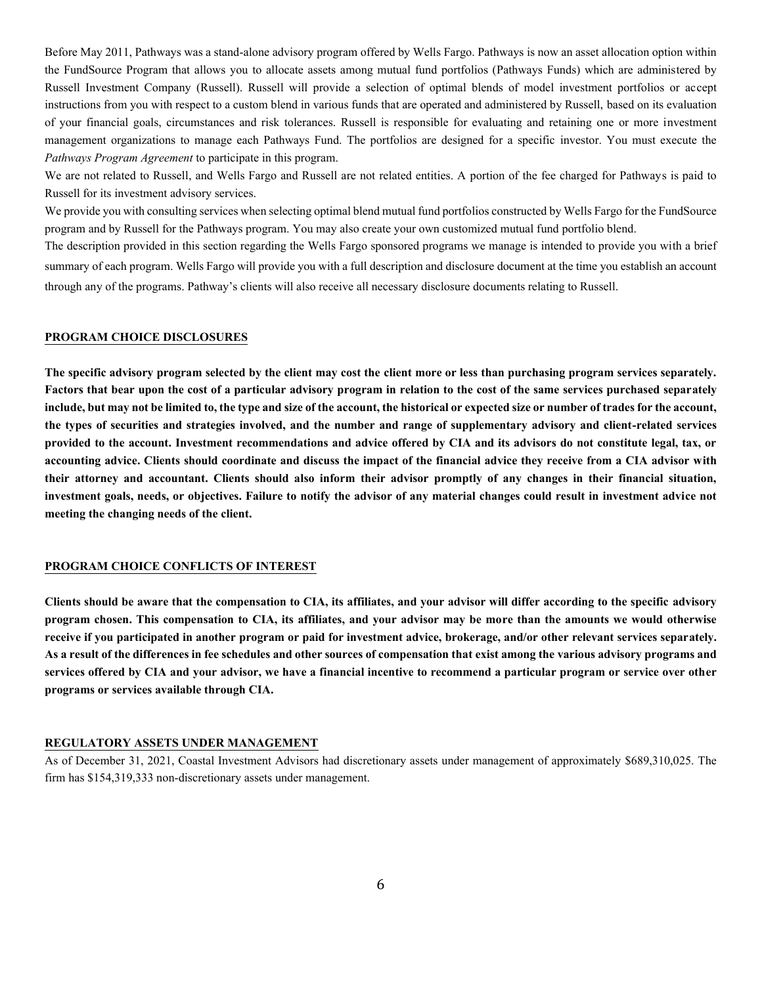Before May 2011, Pathways was a stand-alone advisory program offered by Wells Fargo. Pathways is now an asset allocation option within the FundSource Program that allows you to allocate assets among mutual fund portfolios (Pathways Funds) which are administered by Russell Investment Company (Russell). Russell will provide a selection of optimal blends of model investment portfolios or accept instructions from you with respect to a custom blend in various funds that are operated and administered by Russell, based on its evaluation of your financial goals, circumstances and risk tolerances. Russell is responsible for evaluating and retaining one or more investment management organizations to manage each Pathways Fund. The portfolios are designed for a specific investor. You must execute the *Pathways Program Agreement* to participate in this program.

We are not related to Russell, and Wells Fargo and Russell are not related entities. A portion of the fee charged for Pathways is paid to Russell for its investment advisory services.

We provide you with consulting services when selecting optimal blend mutual fund portfolios constructed by Wells Fargo for the FundSource program and by Russell for the Pathways program. You may also create your own customized mutual fund portfolio blend.

The description provided in this section regarding the Wells Fargo sponsored programs we manage is intended to provide you with a brief summary of each program. Wells Fargo will provide you with a full description and disclosure document at the time you establish an account through any of the programs. Pathway's clients will also receive all necessary disclosure documents relating to Russell.

#### **PROGRAM CHOICE DISCLOSURES**

**The specific advisory program selected by the client may cost the client more or less than purchasing program services separately. Factors that bear upon the cost of a particular advisory program in relation to the cost of the same services purchased separately include, but may not be limited to, the type and size of the account, the historical or expected size or number of trades for the account, the types of securities and strategies involved, and the number and range of supplementary advisory and client-related services provided to the account. Investment recommendations and advice offered by CIA and its advisors do not constitute legal, tax, or accounting advice. Clients should coordinate and discuss the impact of the financial advice they receive from a CIA advisor with their attorney and accountant. Clients should also inform their advisor promptly of any changes in their financial situation, investment goals, needs, or objectives. Failure to notify the advisor of any material changes could result in investment advice not meeting the changing needs of the client.** 

#### **PROGRAM CHOICE CONFLICTS OF INTEREST**

**Clients should be aware that the compensation to CIA, its affiliates, and your advisor will differ according to the specific advisory program chosen. This compensation to CIA, its affiliates, and your advisor may be more than the amounts we would otherwise receive if you participated in another program or paid for investment advice, brokerage, and/or other relevant services separately. As a result of the differences in fee schedules and other sources of compensation that exist among the various advisory programs and services offered by CIA and your advisor, we have a financial incentive to recommend a particular program or service over other programs or services available through CIA.**

# **REGULATORY ASSETS UNDER MANAGEMENT**

As of December 31, 2021, Coastal Investment Advisors had discretionary assets under management of approximately \$689,310,025. The firm has \$154,319,333 non-discretionary assets under management.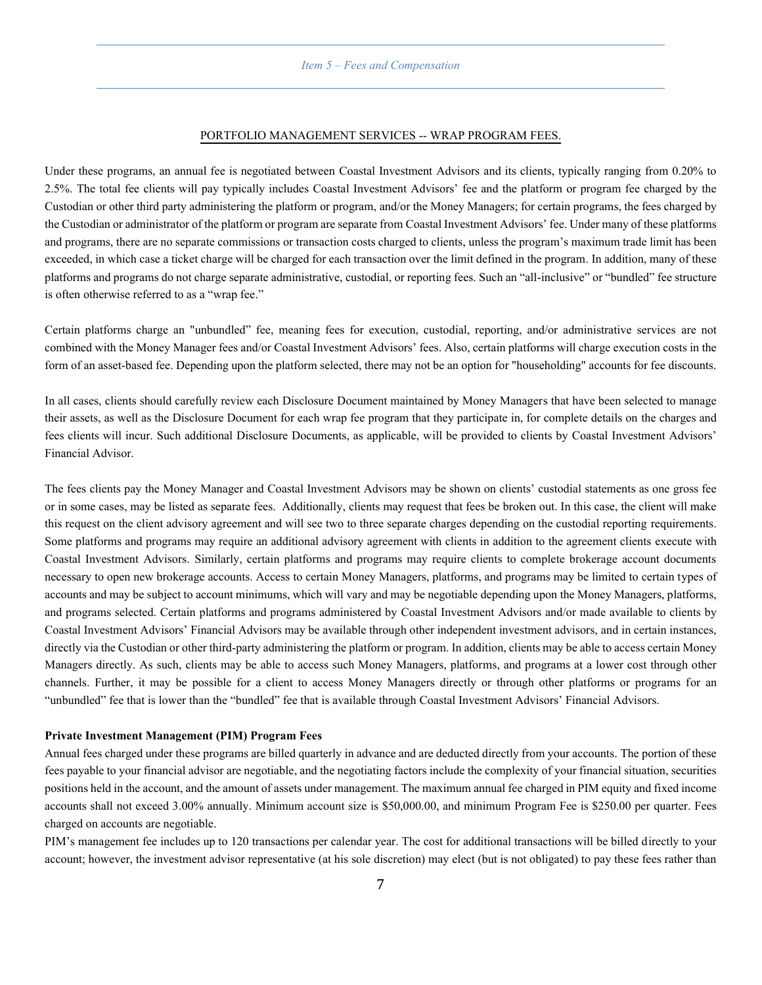#### *Item 5 – Fees and Compensation*

#### PORTFOLIO MANAGEMENT SERVICES -- WRAP PROGRAM FEES.

<span id="page-9-0"></span>Under these programs, an annual fee is negotiated between Coastal Investment Advisors and its clients, typically ranging from 0.20% to 2.5%. The total fee clients will pay typically includes Coastal Investment Advisors' fee and the platform or program fee charged by the Custodian or other third party administering the platform or program, and/or the Money Managers; for certain programs, the fees charged by the Custodian or administrator of the platform or program are separate from Coastal Investment Advisors' fee. Under many of these platforms and programs, there are no separate commissions or transaction costs charged to clients, unless the program's maximum trade limit has been exceeded, in which case a ticket charge will be charged for each transaction over the limit defined in the program. In addition, many of these platforms and programs do not charge separate administrative, custodial, or reporting fees. Such an "all-inclusive" or "bundled" fee structure is often otherwise referred to as a "wrap fee."

Certain platforms charge an "unbundled" fee, meaning fees for execution, custodial, reporting, and/or administrative services are not combined with the Money Manager fees and/or Coastal Investment Advisors' fees. Also, certain platforms will charge execution costs in the form of an asset-based fee. Depending upon the platform selected, there may not be an option for "householding" accounts for fee discounts.

In all cases, clients should carefully review each Disclosure Document maintained by Money Managers that have been selected to manage their assets, as well as the Disclosure Document for each wrap fee program that they participate in, for complete details on the charges and fees clients will incur. Such additional Disclosure Documents, as applicable, will be provided to clients by Coastal Investment Advisors' Financial Advisor.

The fees clients pay the Money Manager and Coastal Investment Advisors may be shown on clients' custodial statements as one gross fee or in some cases, may be listed as separate fees. Additionally, clients may request that fees be broken out. In this case, the client will make this request on the client advisory agreement and will see two to three separate charges depending on the custodial reporting requirements. Some platforms and programs may require an additional advisory agreement with clients in addition to the agreement clients execute with Coastal Investment Advisors. Similarly, certain platforms and programs may require clients to complete brokerage account documents necessary to open new brokerage accounts. Access to certain Money Managers, platforms, and programs may be limited to certain types of accounts and may be subject to account minimums, which will vary and may be negotiable depending upon the Money Managers, platforms, and programs selected. Certain platforms and programs administered by Coastal Investment Advisors and/or made available to clients by Coastal Investment Advisors' Financial Advisors may be available through other independent investment advisors, and in certain instances, directly via the Custodian or other third-party administering the platform or program. In addition, clients may be able to access certain Money Managers directly. As such, clients may be able to access such Money Managers, platforms, and programs at a lower cost through other channels. Further, it may be possible for a client to access Money Managers directly or through other platforms or programs for an "unbundled" fee that is lower than the "bundled" fee that is available through Coastal Investment Advisors' Financial Advisors.

#### **Private Investment Management (PIM) Program Fees**

Annual fees charged under these programs are billed quarterly in advance and are deducted directly from your accounts. The portion of these fees payable to your financial advisor are negotiable, and the negotiating factors include the complexity of your financial situation, securities positions held in the account, and the amount of assets under management. The maximum annual fee charged in PIM equity and fixed income accounts shall not exceed 3.00% annually. Minimum account size is \$50,000.00, and minimum Program Fee is \$250.00 per quarter. Fees charged on accounts are negotiable.

PIM's management fee includes up to 120 transactions per calendar year. The cost for additional transactions will be billed directly to your account; however, the investment advisor representative (at his sole discretion) may elect (but is not obligated) to pay these fees rather than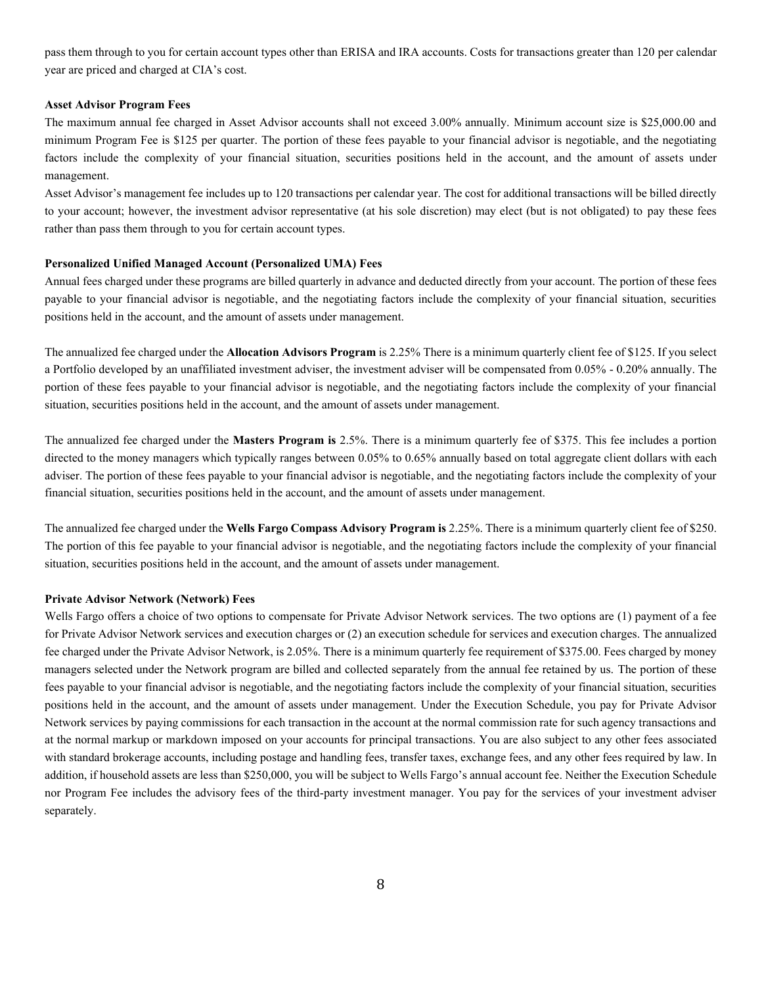pass them through to you for certain account types other than ERISA and IRA accounts. Costs for transactions greater than 120 per calendar year are priced and charged at CIA's cost.

#### **Asset Advisor Program Fees**

The maximum annual fee charged in Asset Advisor accounts shall not exceed 3.00% annually. Minimum account size is \$25,000.00 and minimum Program Fee is \$125 per quarter. The portion of these fees payable to your financial advisor is negotiable, and the negotiating factors include the complexity of your financial situation, securities positions held in the account, and the amount of assets under management.

Asset Advisor's management fee includes up to 120 transactions per calendar year. The cost for additional transactions will be billed directly to your account; however, the investment advisor representative (at his sole discretion) may elect (but is not obligated) to pay these fees rather than pass them through to you for certain account types.

#### **Personalized Unified Managed Account (Personalized UMA) Fees**

Annual fees charged under these programs are billed quarterly in advance and deducted directly from your account. The portion of these fees payable to your financial advisor is negotiable, and the negotiating factors include the complexity of your financial situation, securities positions held in the account, and the amount of assets under management.

The annualized fee charged under the **Allocation Advisors Program** is 2.25% There is a minimum quarterly client fee of \$125. If you select a Portfolio developed by an unaffiliated investment adviser, the investment adviser will be compensated from 0.05% - 0.20% annually. The portion of these fees payable to your financial advisor is negotiable, and the negotiating factors include the complexity of your financial situation, securities positions held in the account, and the amount of assets under management.

The annualized fee charged under the **Masters Program is** 2.5%. There is a minimum quarterly fee of \$375. This fee includes a portion directed to the money managers which typically ranges between 0.05% to 0.65% annually based on total aggregate client dollars with each adviser. The portion of these fees payable to your financial advisor is negotiable, and the negotiating factors include the complexity of your financial situation, securities positions held in the account, and the amount of assets under management.

The annualized fee charged under the **Wells Fargo Compass Advisory Program is** 2.25%. There is a minimum quarterly client fee of \$250. The portion of this fee payable to your financial advisor is negotiable, and the negotiating factors include the complexity of your financial situation, securities positions held in the account, and the amount of assets under management.

#### **Private Advisor Network (Network) Fees**

Wells Fargo offers a choice of two options to compensate for Private Advisor Network services. The two options are (1) payment of a fee for Private Advisor Network services and execution charges or (2) an execution schedule for services and execution charges. The annualized fee charged under the Private Advisor Network, is 2.05%. There is a minimum quarterly fee requirement of \$375.00. Fees charged by money managers selected under the Network program are billed and collected separately from the annual fee retained by us. The portion of these fees payable to your financial advisor is negotiable, and the negotiating factors include the complexity of your financial situation, securities positions held in the account, and the amount of assets under management. Under the Execution Schedule, you pay for Private Advisor Network services by paying commissions for each transaction in the account at the normal commission rate for such agency transactions and at the normal markup or markdown imposed on your accounts for principal transactions. You are also subject to any other fees associated with standard brokerage accounts, including postage and handling fees, transfer taxes, exchange fees, and any other fees required by law. In addition, if household assets are less than \$250,000, you will be subject to Wells Fargo'sannual account fee. Neither the Execution Schedule nor Program Fee includes the advisory fees of the third-party investment manager. You pay for the services of your investment adviser separately.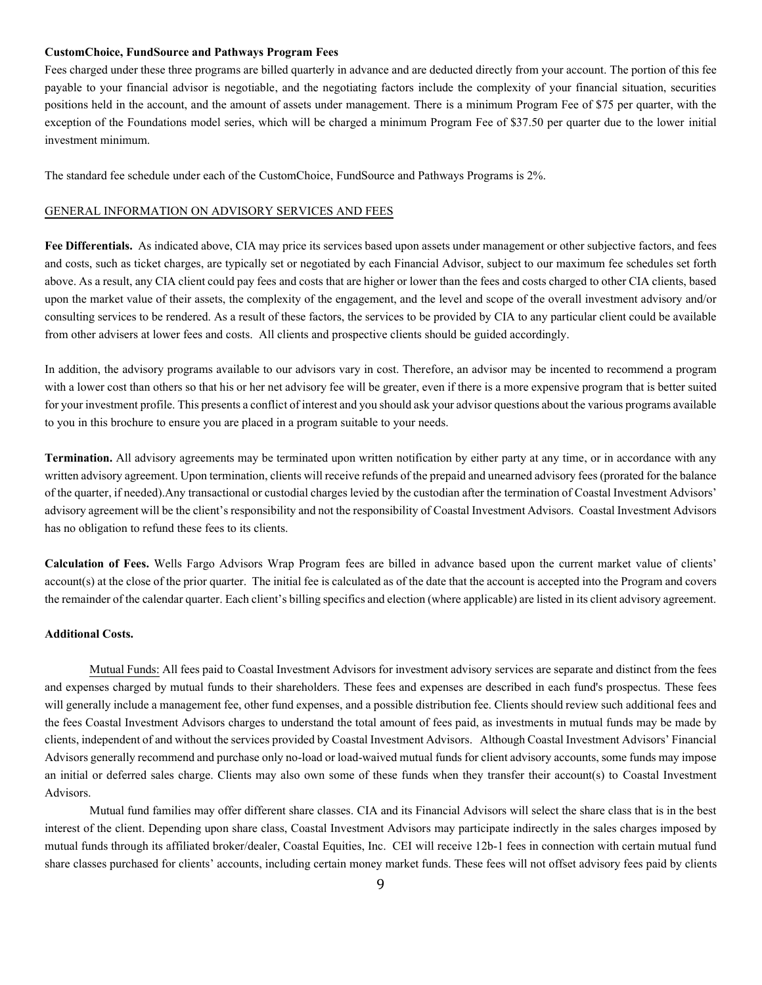#### **CustomChoice, FundSource and Pathways Program Fees**

Fees charged under these three programs are billed quarterly in advance and are deducted directly from your account. The portion of this fee payable to your financial advisor is negotiable, and the negotiating factors include the complexity of your financial situation, securities positions held in the account, and the amount of assets under management. There is a minimum Program Fee of \$75 per quarter, with the exception of the Foundations model series, which will be charged a minimum Program Fee of \$37.50 per quarter due to the lower initial investment minimum.

The standard fee schedule under each of the CustomChoice, FundSource and Pathways Programs is 2%.

#### GENERAL INFORMATION ON ADVISORY SERVICES AND FEES

**Fee Differentials.** As indicated above, CIA may price its services based upon assets under management or other subjective factors, and fees and costs, such as ticket charges, are typically set or negotiated by each Financial Advisor, subject to our maximum fee schedules set forth above. As a result, any CIA client could pay fees and costs that are higher or lower than the fees and costs charged to other CIA clients, based upon the market value of their assets, the complexity of the engagement, and the level and scope of the overall investment advisory and/or consulting services to be rendered. As a result of these factors, the services to be provided by CIA to any particular client could be available from other advisers at lower fees and costs. All clients and prospective clients should be guided accordingly.

In addition, the advisory programs available to our advisors vary in cost. Therefore, an advisor may be incented to recommend a program with a lower cost than others so that his or her net advisory fee will be greater, even if there is a more expensive program that is better suited for your investment profile. This presents a conflict of interest and you should ask your advisor questions about the various programs available to you in this brochure to ensure you are placed in a program suitable to your needs.

**Termination.** All advisory agreements may be terminated upon written notification by either party at any time, or in accordance with any written advisory agreement. Upon termination, clients will receive refunds of the prepaid and unearned advisory fees (prorated for the balance of the quarter, if needed).Any transactional or custodial charges levied by the custodian after the termination of Coastal Investment Advisors' advisory agreement will be the client's responsibility and not the responsibility of Coastal Investment Advisors. Coastal Investment Advisors has no obligation to refund these fees to its clients.

**Calculation of Fees.** Wells Fargo Advisors Wrap Program fees are billed in advance based upon the current market value of clients' account(s) at the close of the prior quarter. The initial fee is calculated as of the date that the account is accepted into the Program and covers the remainder of the calendar quarter. Each client's billing specifics and election (where applicable) are listed in its client advisory agreement.

#### **Additional Costs.**

Mutual Funds: All fees paid to Coastal Investment Advisors for investment advisory services are separate and distinct from the fees and expenses charged by mutual funds to their shareholders. These fees and expenses are described in each fund's prospectus. These fees will generally include a management fee, other fund expenses, and a possible distribution fee. Clients should review such additional fees and the fees Coastal Investment Advisors charges to understand the total amount of fees paid, as investments in mutual funds may be made by clients, independent of and without the services provided by Coastal Investment Advisors. Although Coastal Investment Advisors' Financial Advisors generally recommend and purchase only no-load or load-waived mutual funds for client advisory accounts, some funds may impose an initial or deferred sales charge. Clients may also own some of these funds when they transfer their account(s) to Coastal Investment Advisors.

Mutual fund families may offer different share classes. CIA and its Financial Advisors will select the share class that is in the best interest of the client. Depending upon share class, Coastal Investment Advisors may participate indirectly in the sales charges imposed by mutual funds through its affiliated broker/dealer, Coastal Equities, Inc. CEI will receive 12b-1 fees in connection with certain mutual fund share classes purchased for clients' accounts, including certain money market funds. These fees will not offset advisory fees paid by clients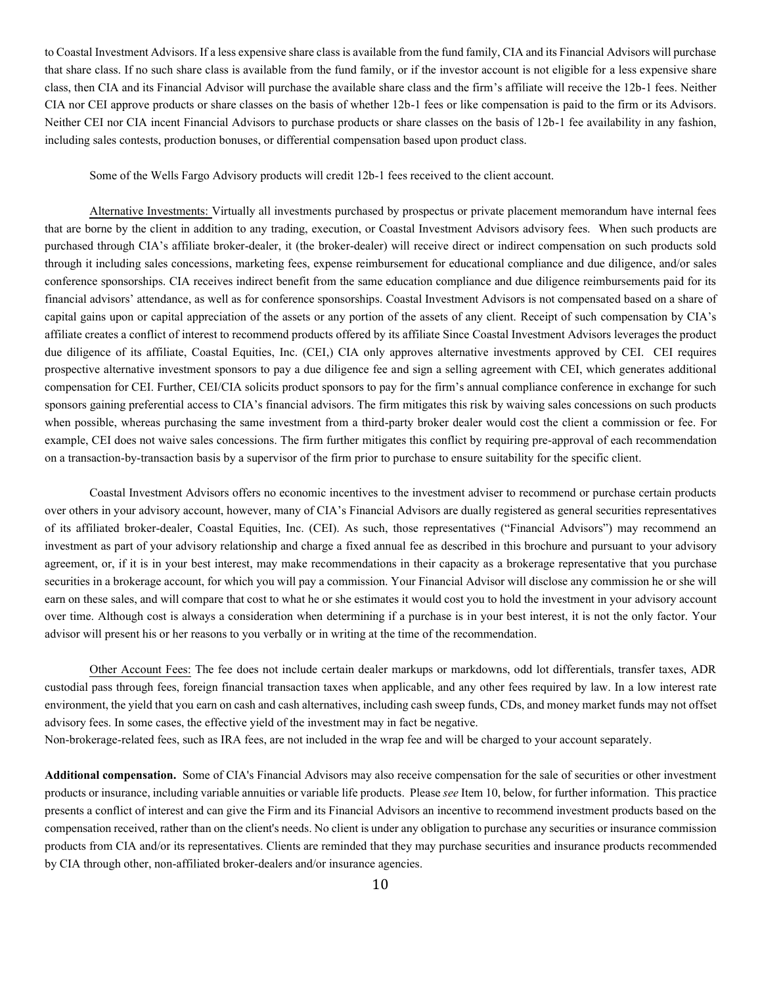to Coastal Investment Advisors. If a less expensive share class is available from the fund family, CIA and its Financial Advisors will purchase that share class. If no such share class is available from the fund family, or if the investor account is not eligible for a less expensive share class, then CIA and its Financial Advisor will purchase the available share class and the firm's affiliate will receive the 12b-1 fees. Neither CIA nor CEI approve products or share classes on the basis of whether 12b-1 fees or like compensation is paid to the firm or its Advisors. Neither CEI nor CIA incent Financial Advisors to purchase products or share classes on the basis of 12b-1 fee availability in any fashion, including sales contests, production bonuses, or differential compensation based upon product class.

Some of the Wells Fargo Advisory products will credit 12b-1 fees received to the client account.

Alternative Investments: Virtually all investments purchased by prospectus or private placement memorandum have internal fees that are borne by the client in addition to any trading, execution, or Coastal Investment Advisors advisory fees. When such products are purchased through CIA's affiliate broker-dealer, it (the broker-dealer) will receive direct or indirect compensation on such products sold through it including sales concessions, marketing fees, expense reimbursement for educational compliance and due diligence, and/or sales conference sponsorships. CIA receives indirect benefit from the same education compliance and due diligence reimbursements paid for its financial advisors' attendance, as well as for conference sponsorships. Coastal Investment Advisors is not compensated based on a share of capital gains upon or capital appreciation of the assets or any portion of the assets of any client. Receipt of such compensation by CIA's affiliate creates a conflict of interest to recommend products offered by its affiliate Since Coastal Investment Advisors leverages the product due diligence of its affiliate, Coastal Equities, Inc. (CEI,) CIA only approves alternative investments approved by CEI. CEI requires prospective alternative investment sponsors to pay a due diligence fee and sign a selling agreement with CEI, which generates additional compensation for CEI. Further, CEI/CIA solicits product sponsors to pay for the firm's annual compliance conference in exchange for such sponsors gaining preferential access to CIA's financial advisors. The firm mitigates this risk by waiving sales concessions on such products when possible, whereas purchasing the same investment from a third-party broker dealer would cost the client a commission or fee. For example, CEI does not waive sales concessions. The firm further mitigates this conflict by requiring pre-approval of each recommendation on a transaction-by-transaction basis by a supervisor of the firm prior to purchase to ensure suitability for the specific client.

Coastal Investment Advisors offers no economic incentives to the investment adviser to recommend or purchase certain products over others in your advisory account, however, many of CIA's Financial Advisors are dually registered as general securities representatives of its affiliated broker-dealer, Coastal Equities, Inc. (CEI). As such, those representatives ("Financial Advisors") may recommend an investment as part of your advisory relationship and charge a fixed annual fee as described in this brochure and pursuant to your advisory agreement, or, if it is in your best interest, may make recommendations in their capacity as a brokerage representative that you purchase securities in a brokerage account, for which you will pay a commission. Your Financial Advisor will disclose any commission he or she will earn on these sales, and will compare that cost to what he or she estimates it would cost you to hold the investment in your advisory account over time. Although cost is always a consideration when determining if a purchase is in your best interest, it is not the only factor. Your advisor will present his or her reasons to you verbally or in writing at the time of the recommendation.

Other Account Fees: The fee does not include certain dealer markups or markdowns, odd lot differentials, transfer taxes, ADR custodial pass through fees, foreign financial transaction taxes when applicable, and any other fees required by law. In a low interest rate environment, the yield that you earn on cash and cash alternatives, including cash sweep funds, CDs, and money market funds may not offset advisory fees. In some cases, the effective yield of the investment may in fact be negative. Non-brokerage-related fees, such as IRA fees, are not included in the wrap fee and will be charged to your account separately.

**Additional compensation.** Some of CIA's Financial Advisors may also receive compensation for the sale of securities or other investment products or insurance, including variable annuities or variable life products. Please *see*Item 10, below, for further information. This practice presents a conflict of interest and can give the Firm and its Financial Advisors an incentive to recommend investment products based on the compensation received, rather than on the client's needs. No client is under any obligation to purchase any securities or insurance commission products from CIA and/or its representatives. Clients are reminded that they may purchase securities and insurance products recommended by CIA through other, non-affiliated broker-dealers and/or insurance agencies.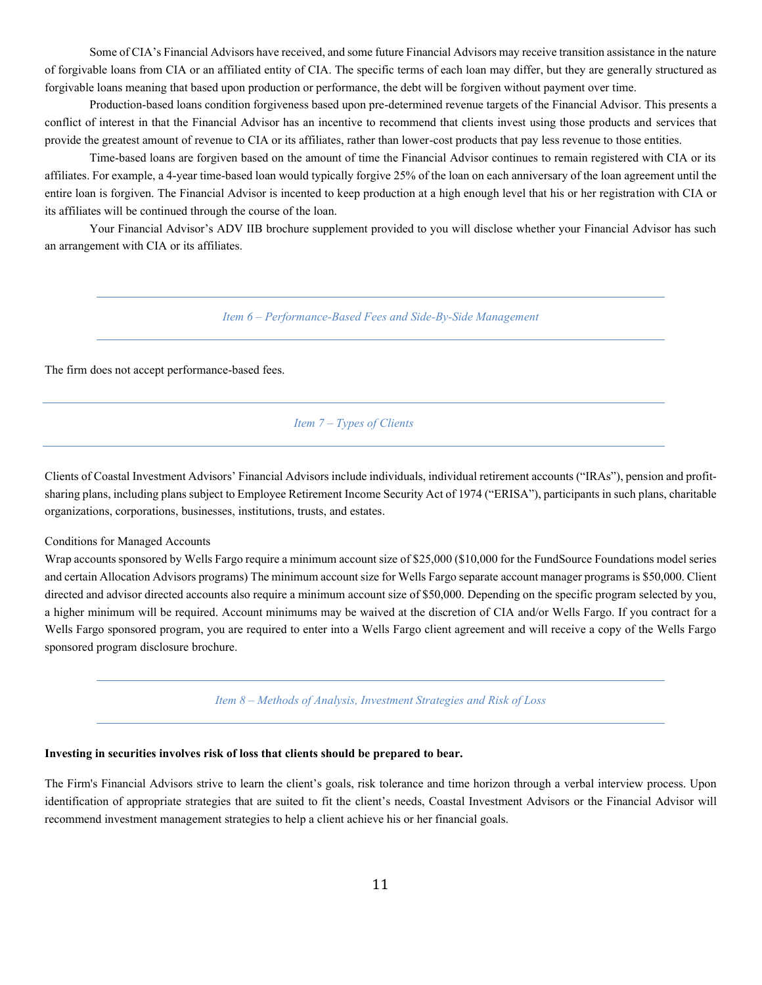Some of CIA's Financial Advisors have received, and some future Financial Advisors may receive transition assistance in the nature of forgivable loans from CIA or an affiliated entity of CIA. The specific terms of each loan may differ, but they are generally structured as forgivable loans meaning that based upon production or performance, the debt will be forgiven without payment over time.

Production-based loans condition forgiveness based upon pre-determined revenue targets of the Financial Advisor. This presents a conflict of interest in that the Financial Advisor has an incentive to recommend that clients invest using those products and services that provide the greatest amount of revenue to CIA or its affiliates, rather than lower-cost products that pay less revenue to those entities.

Time-based loans are forgiven based on the amount of time the Financial Advisor continues to remain registered with CIA or its affiliates. For example, a 4-year time-based loan would typically forgive 25% of the loan on each anniversary of the loan agreement until the entire loan is forgiven. The Financial Advisor is incented to keep production at a high enough level that his or her registration with CIA or its affiliates will be continued through the course of the loan.

<span id="page-13-0"></span>Your Financial Advisor's ADV IIB brochure supplement provided to you will disclose whether your Financial Advisor has such an arrangement with CIA or its affiliates.

*Item 6 – Performance-Based Fees and Side-By-Side Management*

<span id="page-13-1"></span>The firm does not accept performance-based fees.

*Item 7 – Types of Clients*

Clients of Coastal Investment Advisors' Financial Advisors include individuals, individual retirement accounts ("IRAs"), pension and profitsharing plans, including plans subject to Employee Retirement Income Security Act of 1974 ("ERISA"), participants in such plans, charitable organizations, corporations, businesses, institutions, trusts, and estates.

Conditions for Managed Accounts

Wrap accounts sponsored by Wells Fargo require a minimum account size of \$25,000 (\$10,000 for the FundSource Foundations model series and certain Allocation Advisors programs) The minimum account size for Wells Fargo separate account manager programs is \$50,000. Client directed and advisor directed accounts also require a minimum account size of \$50,000. Depending on the specific program selected by you, a higher minimum will be required. Account minimums may be waived at the discretion of CIA and/or Wells Fargo. If you contract for a Wells Fargo sponsored program, you are required to enter into a Wells Fargo client agreement and will receive a copy of the Wells Fargo sponsored program disclosure brochure.

*Item 8 – Methods of Analysis, Investment Strategies and Risk of Loss*

# <span id="page-13-2"></span>**Investing in securities involves risk of loss that clients should be prepared to bear.**

The Firm's Financial Advisors strive to learn the client's goals, risk tolerance and time horizon through a verbal interview process. Upon identification of appropriate strategies that are suited to fit the client's needs, Coastal Investment Advisors or the Financial Advisor will recommend investment management strategies to help a client achieve his or her financial goals.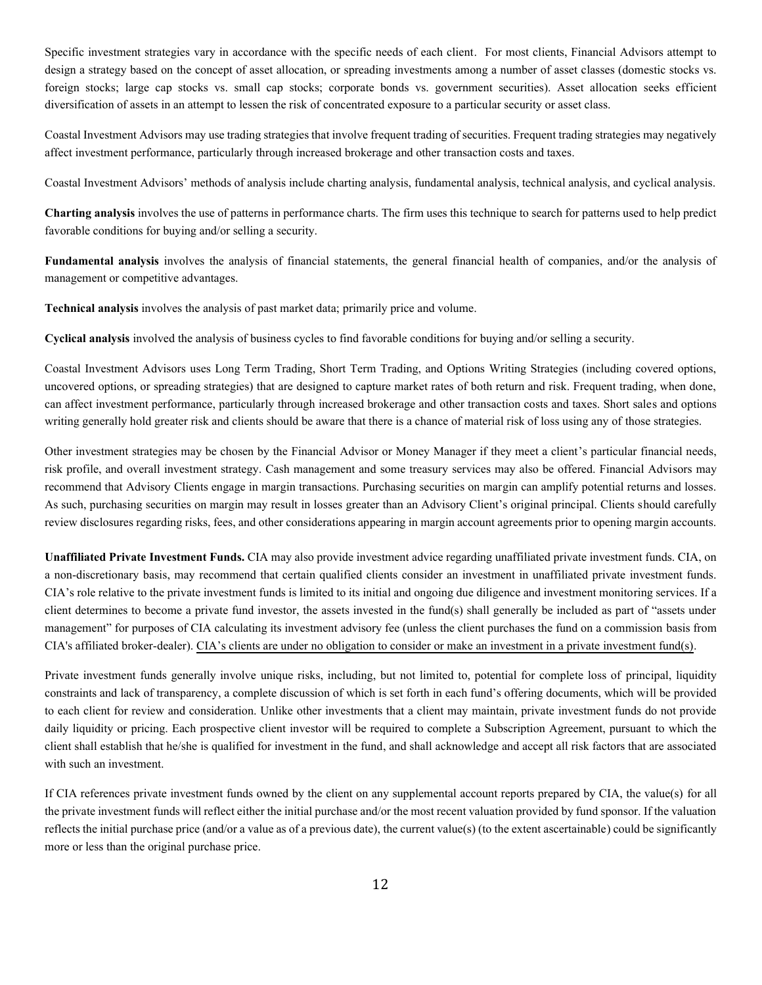Specific investment strategies vary in accordance with the specific needs of each client. For most clients, Financial Advisors attempt to design a strategy based on the concept of asset allocation, or spreading investments among a number of asset classes (domestic stocks vs. foreign stocks; large cap stocks vs. small cap stocks; corporate bonds vs. government securities). Asset allocation seeks efficient diversification of assets in an attempt to lessen the risk of concentrated exposure to a particular security or asset class.

Coastal Investment Advisors may use trading strategies that involve frequent trading of securities. Frequent trading strategies may negatively affect investment performance, particularly through increased brokerage and other transaction costs and taxes.

Coastal Investment Advisors' methods of analysis include charting analysis, fundamental analysis, technical analysis, and cyclical analysis.

**Charting analysis** involves the use of patterns in performance charts. The firm uses this technique to search for patterns used to help predict favorable conditions for buying and/or selling a security.

**Fundamental analysis** involves the analysis of financial statements, the general financial health of companies, and/or the analysis of management or competitive advantages.

**Technical analysis** involves the analysis of past market data; primarily price and volume.

**Cyclical analysis** involved the analysis of business cycles to find favorable conditions for buying and/or selling a security.

Coastal Investment Advisors uses Long Term Trading, Short Term Trading, and Options Writing Strategies (including covered options, uncovered options, or spreading strategies) that are designed to capture market rates of both return and risk. Frequent trading, when done, can affect investment performance, particularly through increased brokerage and other transaction costs and taxes. Short sales and options writing generally hold greater risk and clients should be aware that there is a chance of material risk of loss using any of those strategies.

Other investment strategies may be chosen by the Financial Advisor or Money Manager if they meet a client's particular financial needs, risk profile, and overall investment strategy. Cash management and some treasury services may also be offered. Financial Advisors may recommend that Advisory Clients engage in margin transactions. Purchasing securities on margin can amplify potential returns and losses. As such, purchasing securities on margin may result in losses greater than an Advisory Client's original principal. Clients should carefully review disclosures regarding risks, fees, and other considerations appearing in margin account agreements prior to opening margin accounts.

**Unaffiliated Private Investment Funds.** CIA may also provide investment advice regarding unaffiliated private investment funds. CIA, on a non-discretionary basis, may recommend that certain qualified clients consider an investment in unaffiliated private investment funds. CIA's role relative to the private investment funds is limited to its initial and ongoing due diligence and investment monitoring services. If a client determines to become a private fund investor, the assets invested in the fund(s) shall generally be included as part of "assets under management" for purposes of CIA calculating its investment advisory fee (unless the client purchases the fund on a commission basis from CIA's affiliated broker-dealer). CIA's clients are under no obligation to consider or make an investment in a private investment fund(s).

Private investment funds generally involve unique risks, including, but not limited to, potential for complete loss of principal, liquidity constraints and lack of transparency, a complete discussion of which is set forth in each fund's offering documents, which will be provided to each client for review and consideration. Unlike other investments that a client may maintain, private investment funds do not provide daily liquidity or pricing. Each prospective client investor will be required to complete a Subscription Agreement, pursuant to which the client shall establish that he/she is qualified for investment in the fund, and shall acknowledge and accept all risk factors that are associated with such an investment.

If CIA references private investment funds owned by the client on any supplemental account reports prepared by CIA, the value(s) for all the private investment funds will reflect either the initial purchase and/or the most recent valuation provided by fund sponsor. If the valuation reflects the initial purchase price (and/or a value as of a previous date), the current value(s) (to the extent ascertainable) could be significantly more or less than the original purchase price.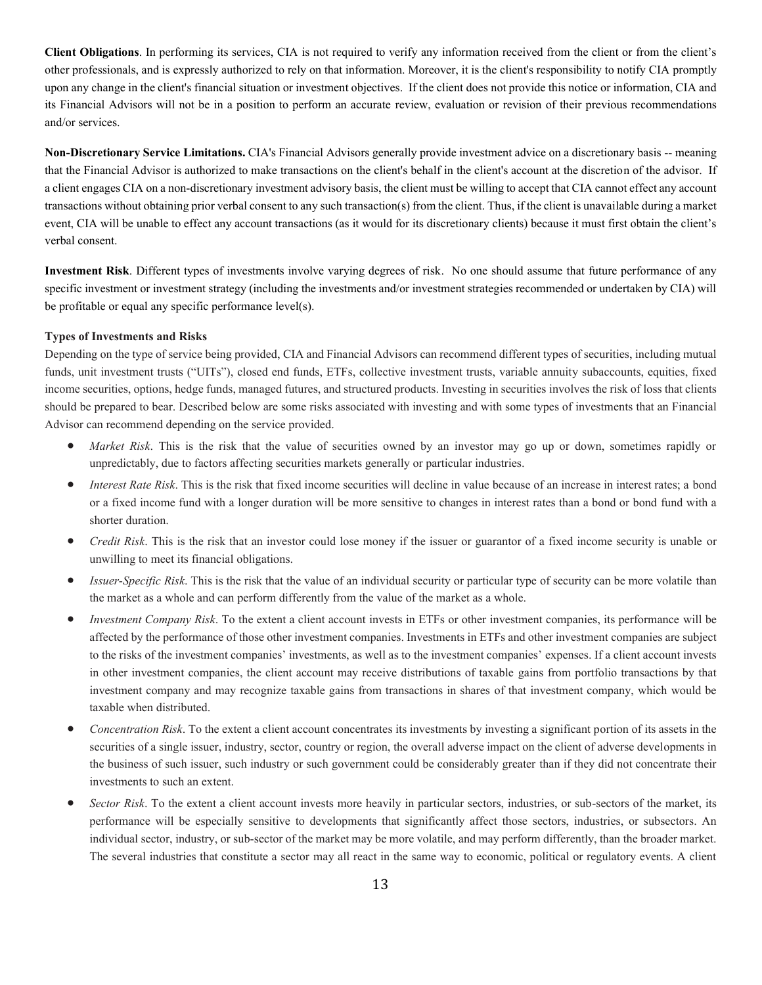**Client Obligations**. In performing its services, CIA is not required to verify any information received from the client or from the client's other professionals, and is expressly authorized to rely on that information. Moreover, it is the client's responsibility to notify CIA promptly upon any change in the client's financial situation or investment objectives. If the client does not provide this notice or information, CIA and its Financial Advisors will not be in a position to perform an accurate review, evaluation or revision of their previous recommendations and/or services.

**Non-Discretionary Service Limitations.** CIA's Financial Advisors generally provide investment advice on a discretionary basis -- meaning that the Financial Advisor is authorized to make transactions on the client's behalf in the client's account at the discretion of the advisor. If a clientengages CIA on a non-discretionary investment advisory basis, the client must be willing to accept that CIA cannot effect any account transactions without obtaining prior verbal consent to any such transaction(s) from the client. Thus, if the client is unavailable during a market event, CIA will be unable to effect any account transactions (as it would for its discretionary clients) because it must first obtain the client's verbal consent.

**Investment Risk**. Different types of investments involve varying degrees of risk. No one should assume that future performance of any specific investment or investment strategy (including the investments and/or investment strategies recommended or undertaken by CIA) will be profitable or equal any specific performance level(s).

#### **Types of Investments and Risks**

Depending on the type of service being provided, CIA and Financial Advisors can recommend different types of securities, including mutual funds, unit investment trusts ("UITs"), closed end funds, ETFs, collective investment trusts, variable annuity subaccounts, equities, fixed income securities, options, hedge funds, managed futures, and structured products. Investing in securities involves the risk of loss that clients should be prepared to bear. Described below are some risks associated with investing and with some types of investments that an Financial Advisor can recommend depending on the service provided.

- *Market Risk*. This is the risk that the value of securities owned by an investor may go up or down, sometimes rapidly or unpredictably, due to factors affecting securities markets generally or particular industries.
- *Interest Rate Risk*. This is the risk that fixed income securities will decline in value because of an increase in interest rates; a bond or a fixed income fund with a longer duration will be more sensitive to changes in interest rates than a bond or bond fund with a shorter duration.
- *Credit Risk*. This is the risk that an investor could lose money if the issuer or guarantor of a fixed income security is unable or unwilling to meet its financial obligations.
- *Issuer*-*Specific Risk*. This is the risk that the value of an individual security or particular type of security can be more volatile than the market as a whole and can perform differently from the value of the market as a whole.
- *Investment Company Risk*. To the extent a client account invests in ETFs or other investment companies, its performance will be affected by the performance of those other investment companies. Investments in ETFs and other investment companies are subject to the risks of the investment companies' investments, as well as to the investment companies' expenses. If a client account invests in other investment companies, the client account may receive distributions of taxable gains from portfolio transactions by that investment company and may recognize taxable gains from transactions in shares of that investment company, which would be taxable when distributed.
- *Concentration Risk*. To the extent a client account concentrates its investments by investing a significant portion of its assets in the securities of a single issuer, industry, sector, country or region, the overall adverse impact on the client of adverse developments in the business of such issuer, such industry or such government could be considerably greater than if they did not concentrate their investments to such an extent.
- *Sector Risk*. To the extent a client account invests more heavily in particular sectors, industries, or sub-sectors of the market, its performance will be especially sensitive to developments that significantly affect those sectors, industries, or subsectors. An individual sector, industry, or sub-sector of the market may be more volatile, and may perform differently, than the broader market. The several industries that constitute a sector may all react in the same way to economic, political or regulatory events. A client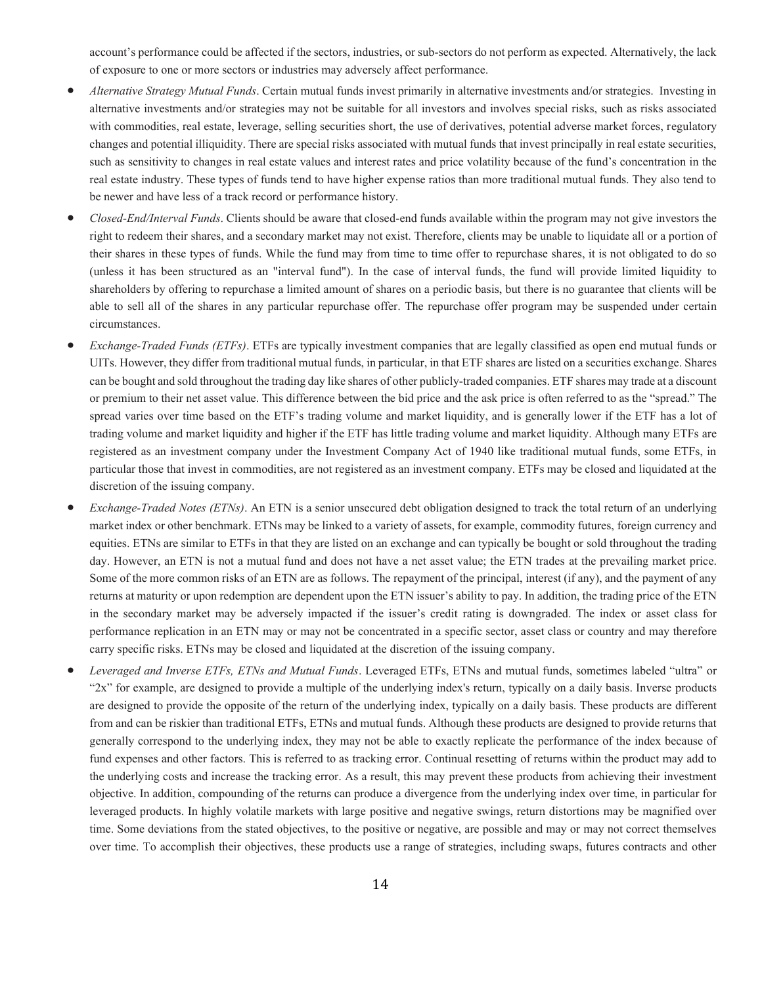account's performance could be affected if the sectors, industries, or sub-sectors do not perform as expected. Alternatively, the lack of exposure to one or more sectors or industries may adversely affect performance.

- *Alternative Strategy Mutual Funds*. Certain mutual funds invest primarily in alternative investments and/or strategies. Investing in alternative investments and/or strategies may not be suitable for all investors and involves special risks, such as risks associated with commodities, real estate, leverage, selling securities short, the use of derivatives, potential adverse market forces, regulatory changes and potential illiquidity. There are special risks associated with mutual funds that invest principally in real estate securities, such as sensitivity to changes in real estate values and interest rates and price volatility because of the fund's concentration in the real estate industry. These types of funds tend to have higher expense ratios than more traditional mutual funds. They also tend to be newer and have less of a track record or performance history.
- *Closed-End/Interval Funds*. Clients should be aware that closed-end funds available within the program may not give investors the right to redeem their shares, and a secondary market may not exist. Therefore, clients may be unable to liquidate all or a portion of their shares in these types of funds. While the fund may from time to time offer to repurchase shares, it is not obligated to do so (unless it has been structured as an "interval fund"). In the case of interval funds, the fund will provide limited liquidity to shareholders by offering to repurchase a limited amount of shares on a periodic basis, but there is no guarantee that clients will be able to sell all of the shares in any particular repurchase offer. The repurchase offer program may be suspended under certain circumstances.
- *Exchange-Traded Funds (ETFs)*. ETFs are typically investment companies that are legally classified as open end mutual funds or UITs. However, they differ from traditional mutual funds, in particular, in that ETF shares are listed on a securities exchange. Shares can be bought and sold throughout the trading day like shares of other publicly-traded companies. ETF shares may trade at a discount or premium to their net asset value. This difference between the bid price and the ask price is often referred to as the "spread." The spread varies over time based on the ETF's trading volume and market liquidity, and is generally lower if the ETF has a lot of trading volume and market liquidity and higher if the ETF has little trading volume and market liquidity. Although many ETFs are registered as an investment company under the Investment Company Act of 1940 like traditional mutual funds, some ETFs, in particular those that invest in commodities, are not registered as an investment company. ETFs may be closed and liquidated at the discretion of the issuing company.
- *Exchange-Traded Notes (ETNs)*. An ETN is a senior unsecured debt obligation designed to track the total return of an underlying market index or other benchmark. ETNs may be linked to a variety of assets, for example, commodity futures, foreign currency and equities. ETNs are similar to ETFs in that they are listed on an exchange and can typically be bought or sold throughout the trading day. However, an ETN is not a mutual fund and does not have a net asset value; the ETN trades at the prevailing market price. Some of the more common risks of an ETN are as follows. The repayment of the principal, interest (if any), and the payment of any returns at maturity or upon redemption are dependent upon the ETN issuer's ability to pay. In addition, the trading price of the ETN in the secondary market may be adversely impacted if the issuer's credit rating is downgraded. The index or asset class for performance replication in an ETN may or may not be concentrated in a specific sector, asset class or country and may therefore carry specific risks. ETNs may be closed and liquidated at the discretion of the issuing company.
- *Leveraged and Inverse ETFs, ETNs and Mutual Funds*. Leveraged ETFs, ETNs and mutual funds, sometimes labeled "ultra" or "2x" for example, are designed to provide a multiple of the underlying index's return, typically on a daily basis. Inverse products are designed to provide the opposite of the return of the underlying index, typically on a daily basis. These products are different from and can be riskier than traditional ETFs, ETNs and mutual funds. Although these products are designed to provide returns that generally correspond to the underlying index, they may not be able to exactly replicate the performance of the index because of fund expenses and other factors. This is referred to as tracking error. Continual resetting of returns within the product may add to the underlying costs and increase the tracking error. As a result, this may prevent these products from achieving their investment objective. In addition, compounding of the returns can produce a divergence from the underlying index over time, in particular for leveraged products. In highly volatile markets with large positive and negative swings, return distortions may be magnified over time. Some deviations from the stated objectives, to the positive or negative, are possible and may or may not correct themselves over time. To accomplish their objectives, these products use a range of strategies, including swaps, futures contracts and other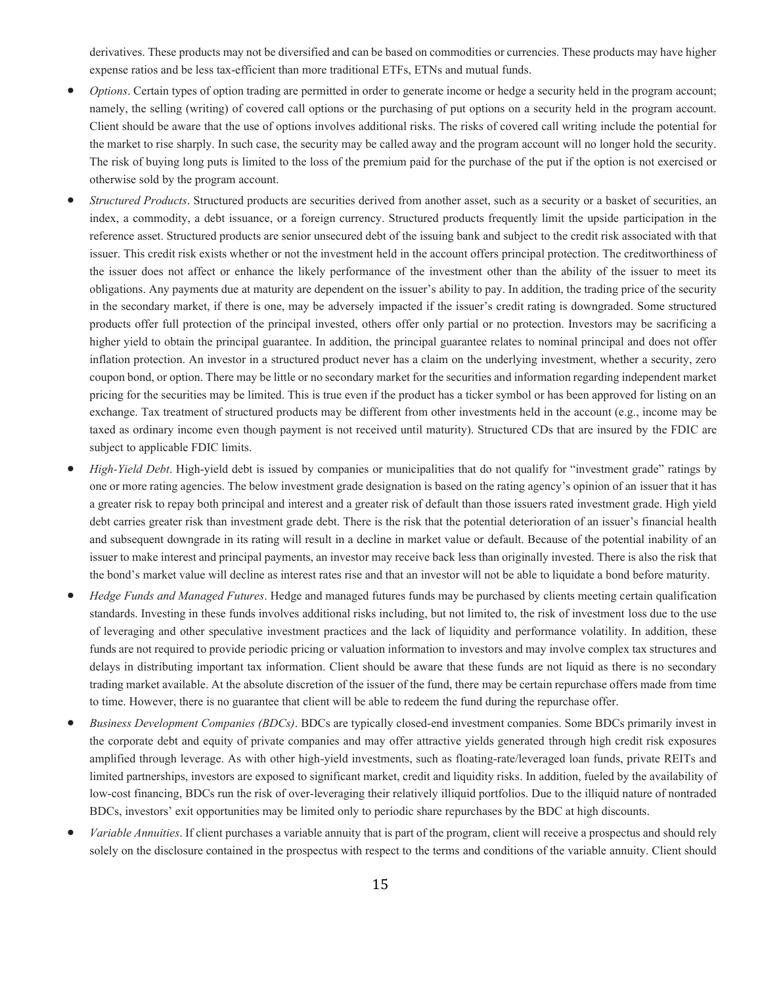derivatives. These products may not be diversified and can be based on commodities or currencies. These products may have higher expense ratios and be less tax-efficient than more traditional ETFs, ETNs and mutual funds.

- *Options*. Certain types of option trading are permitted in order to generate income or hedge a security held in the program account; namely, the selling (writing) of covered call options or the purchasing of put options on a security held in the program account. Client should be aware that the use of options involves additional risks. The risks of covered call writing include the potential for the market to rise sharply. In such case, the security may be called away and the program account will no longer hold the security. The risk of buying long puts is limited to the loss of the premium paid for the purchase of the put if the option is not exercised or otherwise sold by the program account.
- *Structured Products*. Structured products are securities derived from another asset, such as a security or a basket of securities, an index, a commodity, a debt issuance, or a foreign currency. Structured products frequently limit the upside participation in the reference asset. Structured products are senior unsecured debt of the issuing bank and subject to the credit risk associated with that issuer. This credit risk exists whether or not the investment held in the account offers principal protection. The creditworthiness of the issuer does not affect or enhance the likely performance of the investment other than the ability of the issuer to meet its obligations. Any payments due at maturity are dependent on the issuer's ability to pay. In addition, the trading price of the security in the secondary market, if there is one, may be adversely impacted if the issuer's credit rating is downgraded. Some structured products offer full protection of the principal invested, others offer only partial or no protection. Investors may be sacrificing a higher yield to obtain the principal guarantee. In addition, the principal guarantee relates to nominal principal and does not offer inflation protection. An investor in a structured product never has a claim on the underlying investment, whether a security, zero coupon bond, or option. There may be little or no secondary market for the securities and information regarding independent market pricing for the securities may be limited. This is true even if the product has a ticker symbol or has been approved for listing on an exchange. Tax treatment of structured products may be different from other investments held in the account (e.g., income may be taxed as ordinary income even though payment is not received until maturity). Structured CDs that are insured by the FDIC are subject to applicable FDIC limits.
- *High-Yield Debt*. High-yield debt is issued by companies or municipalities that do not qualify for "investment grade" ratings by one or more rating agencies. The below investment grade designation is based on the rating agency's opinion of an issuer that it has a greater risk to repay both principal and interest and a greater risk of default than those issuers rated investment grade. High yield debt carries greater risk than investment grade debt. There is the risk that the potential deterioration of an issuer's financial health and subsequent downgrade in its rating will result in a decline in market value or default. Because of the potential inability of an issuer to make interest and principal payments, an investor may receive back less than originally invested. There is also the risk that the bond's market value will decline as interest rates rise and that an investor will not be able to liquidate a bond before maturity.
- *Hedge Funds and Managed Futures*. Hedge and managed futures funds may be purchased by clients meeting certain qualification standards. Investing in these funds involves additional risks including, but not limited to, the risk of investment loss due to the use of leveraging and other speculative investment practices and the lack of liquidity and performance volatility. In addition, these funds are not required to provide periodic pricing or valuation information to investors and may involve complex tax structures and delays in distributing important tax information. Client should be aware that these funds are not liquid as there is no secondary trading market available. At the absolute discretion of the issuer of the fund, there may be certain repurchase offers made from time to time. However, there is no guarantee that client will be able to redeem the fund during the repurchase offer.
- *Business Development Companies (BDCs)*. BDCs are typically closed-end investment companies. Some BDCs primarily invest in the corporate debt and equity of private companies and may offer attractive yields generated through high credit risk exposures amplified through leverage. As with other high-yield investments, such as floating-rate/leveraged loan funds, private REITs and limited partnerships, investors are exposed to significant market, credit and liquidity risks. In addition, fueled by the availability of low-cost financing, BDCs run the risk of over-leveraging their relatively illiquid portfolios. Due to the illiquid nature of nontraded BDCs, investors' exit opportunities may be limited only to periodic share repurchases by the BDC at high discounts.
- *Variable Annuities*. If client purchases a variable annuity that is part of the program, client will receive a prospectus and should rely solely on the disclosure contained in the prospectus with respect to the terms and conditions of the variable annuity. Client should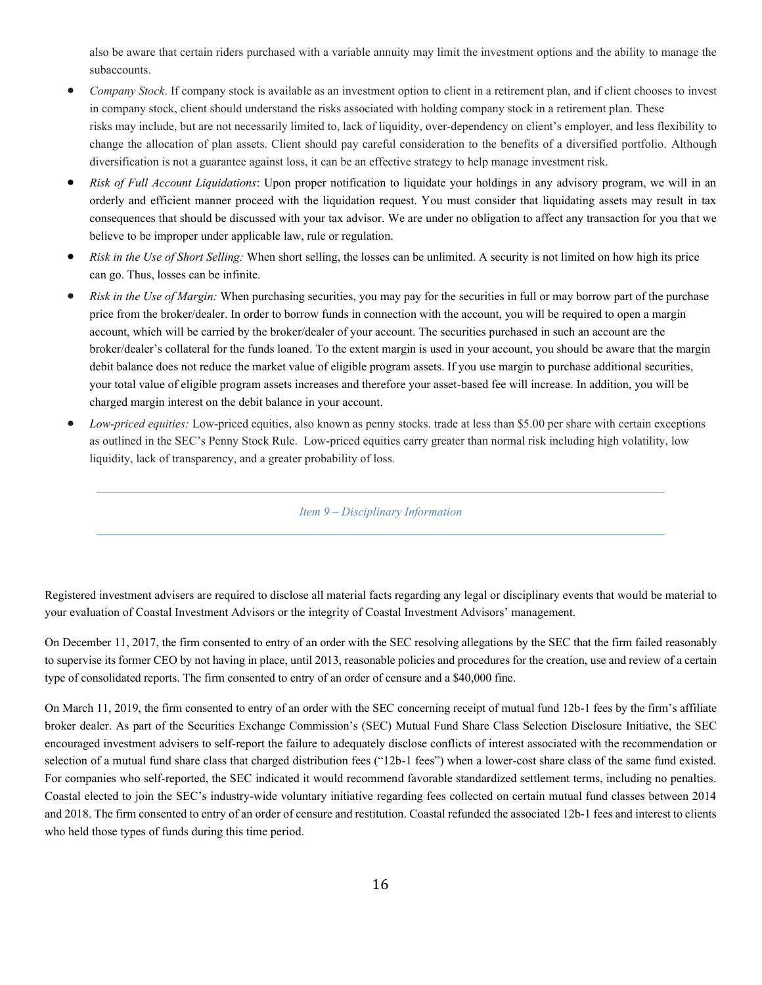also be aware that certain riders purchased with a variable annuity may limit the investment options and the ability to manage the subaccounts.

- *Company Stock*. If company stock is available as an investment option to client in a retirement plan, and if client chooses to invest in company stock, client should understand the risks associated with holding company stock in a retirement plan. These risks may include, but are not necessarily limited to, lack of liquidity, over-dependency on client's employer, and less flexibility to change the allocation of plan assets. Client should pay careful consideration to the benefits of a diversified portfolio. Although diversification is not a guarantee against loss, it can be an effective strategy to help manage investment risk.
- *Risk of Full Account Liquidations*: Upon proper notification to liquidate your holdings in any advisory program, we will in an orderly and efficient manner proceed with the liquidation request. You must consider that liquidating assets may result in tax consequences that should be discussed with your tax advisor. We are under no obligation to affect any transaction for you that we believe to be improper under applicable law, rule or regulation.
- *Risk in the Use of Short Selling:* When short selling, the losses can be unlimited. A security is not limited on how high its price can go. Thus, losses can be infinite.
- *Risk in the Use of Margin:* When purchasing securities, you may pay for the securities in full or may borrow part of the purchase price from the broker/dealer. In order to borrow funds in connection with the account, you will be required to open a margin account, which will be carried by the broker/dealer of your account. The securities purchased in such an account are the broker/dealer's collateral for the funds loaned. To the extent margin is used in your account, you should be aware that the margin debit balance does not reduce the market value of eligible program assets. If you use margin to purchase additional securities, your total value of eligible program assets increases and therefore your asset-based fee will increase. In addition, you will be charged margin interest on the debit balance in your account.
- <span id="page-18-0"></span>• *Low-priced equities:* Low-priced equities, also known as penny stocks. trade at less than \$5.00 per share with certain exceptions as outlined in the SEC's Penny Stock Rule. Low-priced equities carry greater than normal risk including high volatility, low liquidity, lack of transparency, and a greater probability of loss.

*Item 9 – Disciplinary Information*

Registered investment advisers are required to disclose all material facts regarding any legal or disciplinary events that would be material to your evaluation of Coastal Investment Advisors or the integrity of Coastal Investment Advisors' management.

On December 11, 2017, the firm consented to entry of an order with the SEC resolving allegations by the SEC that the firm failed reasonably to supervise its former CEO by not having in place, until 2013, reasonable policies and procedures for the creation, use and review of a certain type of consolidated reports. The firm consented to entry of an order of censure and a \$40,000 fine.

On March 11, 2019, the firm consented to entry of an order with the SEC concerning receipt of mutual fund 12b-1 fees by the firm's affiliate broker dealer. As part of the Securities Exchange Commission's (SEC) Mutual Fund Share Class Selection Disclosure Initiative, the SEC encouraged investment advisers to self-report the failure to adequately disclose conflicts of interest associated with the recommendation or selection of a mutual fund share class that charged distribution fees ("12b-1 fees") when a lower-cost share class of the same fund existed. For companies who self-reported, the SEC indicated it would recommend favorable standardized settlement terms, including no penalties. Coastal elected to join the SEC's industry-wide voluntary initiative regarding fees collected on certain mutual fund classes between 2014 and 2018. The firm consented to entry of an order of censure and restitution. Coastal refunded the associated 12b-1 fees and interest to clients who held those types of funds during this time period.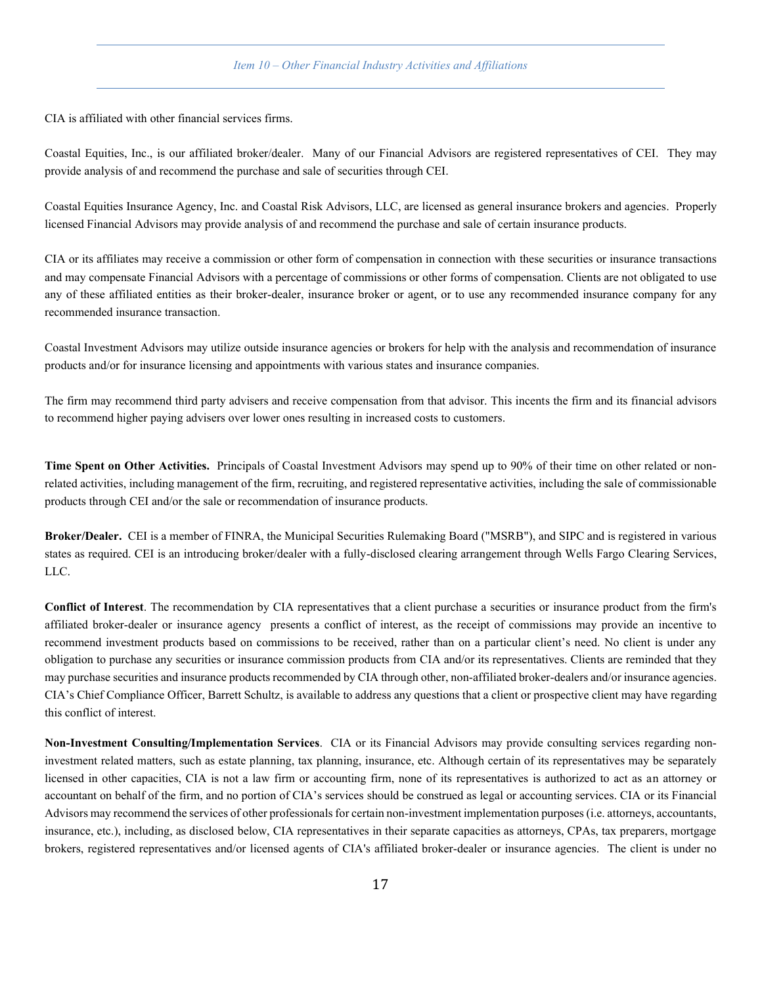#### *Item 10 – Other Financial Industry Activities and Affiliations*

<span id="page-19-0"></span>CIA is affiliated with other financial services firms.

Coastal Equities, Inc., is our affiliated broker/dealer. Many of our Financial Advisors are registered representatives of CEI. They may provide analysis of and recommend the purchase and sale of securities through CEI.

Coastal Equities Insurance Agency, Inc. and Coastal Risk Advisors, LLC, are licensed as general insurance brokers and agencies. Properly licensed Financial Advisors may provide analysis of and recommend the purchase and sale of certain insurance products.

CIA or its affiliates may receive a commission or other form of compensation in connection with these securities or insurance transactions and may compensate Financial Advisors with a percentage of commissions or other forms of compensation. Clients are not obligated to use any of these affiliated entities as their broker-dealer, insurance broker or agent, or to use any recommended insurance company for any recommended insurance transaction.

Coastal Investment Advisors may utilize outside insurance agencies or brokers for help with the analysis and recommendation of insurance products and/or for insurance licensing and appointments with various states and insurance companies.

The firm may recommend third party advisers and receive compensation from that advisor. This incents the firm and its financial advisors to recommend higher paying advisers over lower ones resulting in increased costs to customers.

**Time Spent on Other Activities.** Principals of Coastal Investment Advisors may spend up to 90% of their time on other related or nonrelated activities, including management of the firm, recruiting, and registered representative activities, including the sale of commissionable products through CEI and/or the sale or recommendation of insurance products.

**Broker/Dealer.** CEI is a member of FINRA, the Municipal Securities Rulemaking Board ("MSRB"), and SIPC and is registered in various states as required. CEI is an introducing broker/dealer with a fully-disclosed clearing arrangement through Wells Fargo Clearing Services, LLC.

**Conflict of Interest**. The recommendation by CIA representatives that a client purchase a securities or insurance product from the firm's affiliated broker-dealer or insurance agency presents a conflict of interest, as the receipt of commissions may provide an incentive to recommend investment products based on commissions to be received, rather than on a particular client's need. No client is under any obligation to purchase any securities or insurance commission products from CIA and/or its representatives. Clients are reminded that they may purchase securities and insurance products recommended by CIA through other, non-affiliated broker-dealers and/or insurance agencies. CIA's Chief Compliance Officer, Barrett Schultz, is available to address any questions that a client or prospective client may have regarding this conflict of interest.

**Non-Investment Consulting/Implementation Services**. CIA or its Financial Advisors may provide consulting services regarding noninvestment related matters, such as estate planning, tax planning, insurance, etc. Although certain of its representatives may be separately licensed in other capacities, CIA is not a law firm or accounting firm, none of its representatives is authorized to act as an attorney or accountant on behalf of the firm, and no portion of CIA's services should be construed as legal or accounting services. CIA or its Financial Advisors may recommend the services of other professionals for certain non-investment implementation purposes (i.e. attorneys, accountants, insurance, etc.), including, as disclosed below, CIA representatives in their separate capacities as attorneys, CPAs, tax preparers, mortgage brokers, registered representatives and/or licensed agents of CIA's affiliated broker-dealer or insurance agencies. The client is under no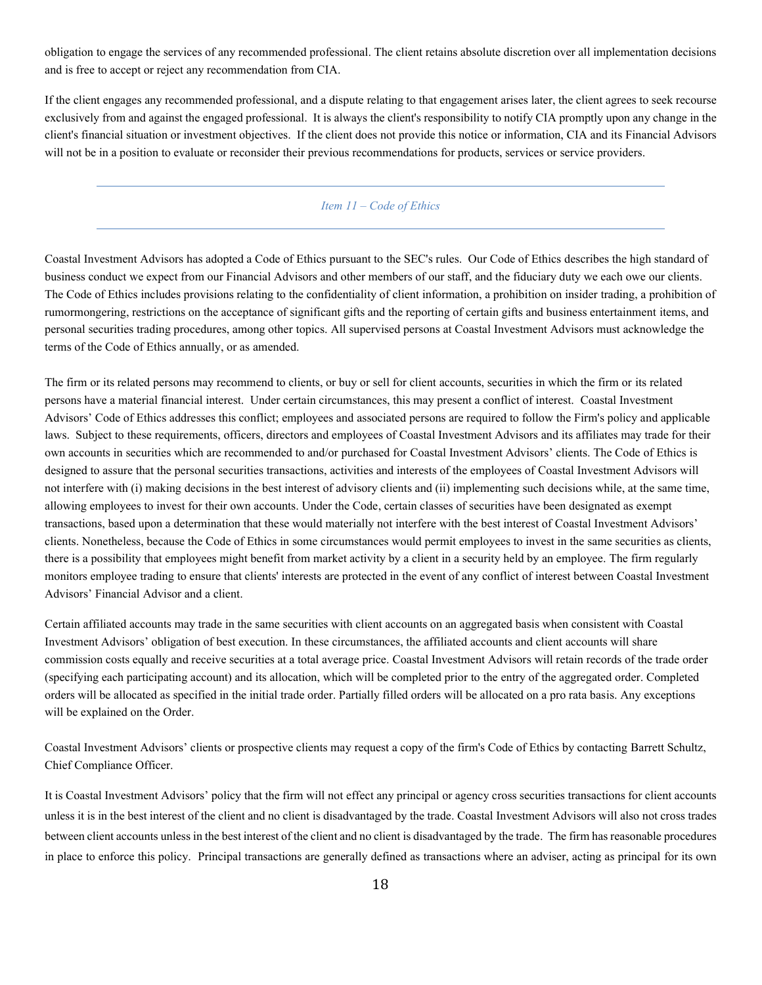obligation to engage the services of any recommended professional. The client retains absolute discretion over all implementation decisions and is free to accept or reject any recommendation from CIA.

If the client engages any recommended professional, and a dispute relating to that engagement arises later, the client agrees to seek recourse exclusively from and against the engaged professional. It is always the client's responsibility to notify CIA promptly upon any change in the client's financial situation or investment objectives. If the client does not provide this notice or information, CIA and its Financial Advisors will not be in a position to evaluate or reconsider their previous recommendations for products, services or service providers.

# <span id="page-20-0"></span>*Item 11 – Code of Ethics*

Coastal Investment Advisors has adopted a Code of Ethics pursuant to the SEC's rules. Our Code of Ethics describes the high standard of business conduct we expect from our Financial Advisors and other members of our staff, and the fiduciary duty we each owe our clients. The Code of Ethics includes provisions relating to the confidentiality of client information, a prohibition on insider trading, a prohibition of rumormongering, restrictions on the acceptance of significant gifts and the reporting of certain gifts and business entertainment items, and personal securities trading procedures, among other topics. All supervised persons at Coastal Investment Advisors must acknowledge the terms of the Code of Ethics annually, or as amended.

The firm or its related persons may recommend to clients, or buy or sell for client accounts, securities in which the firm or its related persons have a material financial interest. Under certain circumstances, this may present a conflict of interest. Coastal Investment Advisors' Code of Ethics addresses this conflict; employees and associated persons are required to follow the Firm's policy and applicable laws. Subject to these requirements, officers, directors and employees of Coastal Investment Advisors and its affiliates may trade for their own accounts in securities which are recommended to and/or purchased for Coastal Investment Advisors' clients. The Code of Ethics is designed to assure that the personal securities transactions, activities and interests of the employees of Coastal Investment Advisors will not interfere with (i) making decisions in the best interest of advisory clients and (ii) implementing such decisions while, at the same time, allowing employees to invest for their own accounts. Under the Code, certain classes of securities have been designated as exempt transactions, based upon a determination that these would materially not interfere with the best interest of Coastal Investment Advisors' clients. Nonetheless, because the Code of Ethics in some circumstances would permit employees to invest in the same securities as clients, there is a possibility that employees might benefit from market activity by a client in a security held by an employee. The firm regularly monitors employee trading to ensure that clients' interests are protected in the event of any conflict of interest between Coastal Investment Advisors' Financial Advisor and a client.

Certain affiliated accounts may trade in the same securities with client accounts on an aggregated basis when consistent with Coastal Investment Advisors' obligation of best execution. In these circumstances, the affiliated accounts and client accounts will share commission costs equally and receive securities at a total average price. Coastal Investment Advisors will retain records of the trade order (specifying each participating account) and its allocation, which will be completed prior to the entry of the aggregated order. Completed orders will be allocated as specified in the initial trade order. Partially filled orders will be allocated on a pro rata basis. Any exceptions will be explained on the Order.

Coastal Investment Advisors' clients or prospective clients may request a copy of the firm's Code of Ethics by contacting Barrett Schultz, Chief Compliance Officer.

It is Coastal Investment Advisors' policy that the firm will not effect any principal or agency cross securities transactions for client accounts unless it is in the best interest of the client and no client is disadvantaged by the trade. Coastal Investment Advisors will also not cross trades between client accounts unless in the best interest of the client and no client is disadvantaged by the trade. The firm has reasonable procedures in place to enforce this policy. Principal transactions are generally defined as transactions where an adviser, acting as principal for its own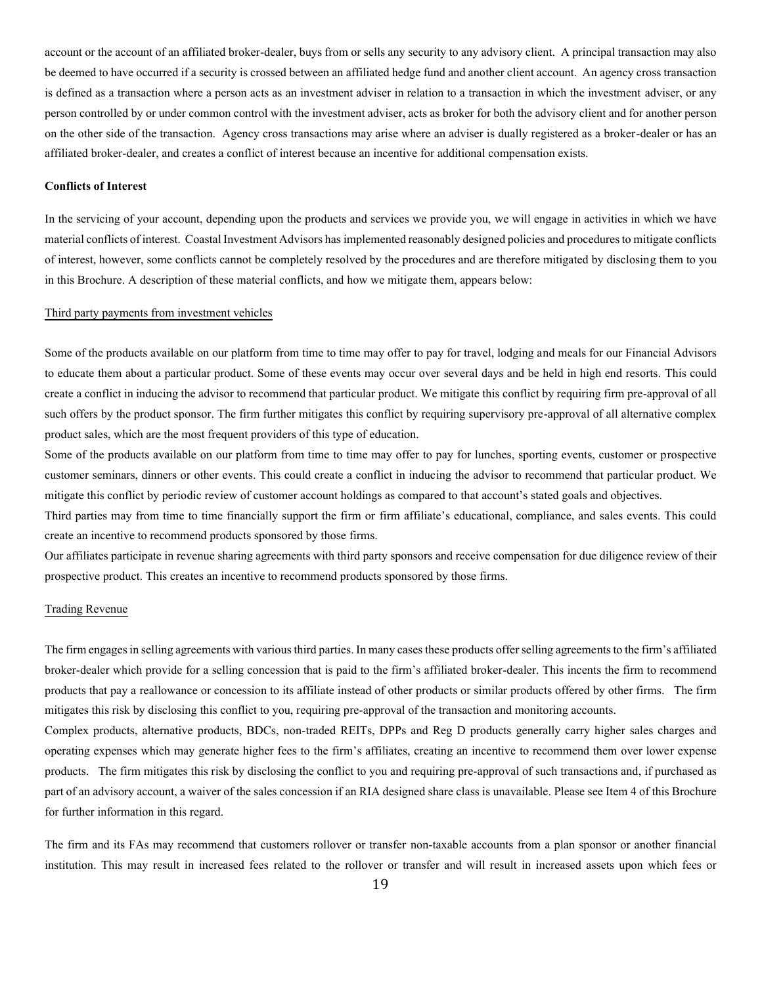account or the account of an affiliated broker-dealer, buys from or sells any security to any advisory client. A principal transaction may also be deemed to have occurred if a security is crossed between an affiliated hedge fund and another client account. An agency cross transaction is defined as a transaction where a person acts as an investment adviser in relation to a transaction in which the investment adviser, or any person controlled by or under common control with the investment adviser, acts as broker for both the advisory client and for another person on the other side of the transaction. Agency cross transactions may arise where an adviser is dually registered as a broker-dealer or has an affiliated broker-dealer, and creates a conflict of interest because an incentive for additional compensation exists.

#### **Conflicts of Interest**

In the servicing of your account, depending upon the products and services we provide you, we will engage in activities in which we have material conflicts of interest. Coastal Investment Advisors has implemented reasonably designed policies and procedures to mitigate conflicts of interest, however, some conflicts cannot be completely resolved by the procedures and are therefore mitigated by disclosing them to you in this Brochure. A description of these material conflicts, and how we mitigate them, appears below:

#### Third party payments from investment vehicles

Some of the products available on our platform from time to time may offer to pay for travel, lodging and meals for our Financial Advisors to educate them about a particular product. Some of these events may occur over several days and be held in high end resorts. This could create a conflict in inducing the advisor to recommend that particular product. We mitigate this conflict by requiring firm pre-approval of all such offers by the product sponsor. The firm further mitigates this conflict by requiring supervisory pre-approval of all alternative complex product sales, which are the most frequent providers of this type of education.

Some of the products available on our platform from time to time may offer to pay for lunches, sporting events, customer or prospective customer seminars, dinners or other events. This could create a conflict in inducing the advisor to recommend that particular product. We mitigate this conflict by periodic review of customer account holdings as compared to that account's stated goals and objectives.

Third parties may from time to time financially support the firm or firm affiliate's educational, compliance, and sales events. This could create an incentive to recommend products sponsored by those firms.

Our affiliates participate in revenue sharing agreements with third party sponsors and receive compensation for due diligence review of their prospective product. This creates an incentive to recommend products sponsored by those firms.

#### Trading Revenue

The firm engages in selling agreements with various third parties. In many cases these products offer selling agreements to the firm's affiliated broker-dealer which provide for a selling concession that is paid to the firm's affiliated broker-dealer. This incents the firm to recommend products that pay a reallowance or concession to its affiliate instead of other products or similar products offered by other firms. The firm mitigates this risk by disclosing this conflict to you, requiring pre-approval of the transaction and monitoring accounts.

Complex products, alternative products, BDCs, non-traded REITs, DPPs and Reg D products generally carry higher sales charges and operating expenses which may generate higher fees to the firm's affiliates, creating an incentive to recommend them over lower expense products. The firm mitigates this risk by disclosing the conflict to you and requiring pre-approval of such transactions and, if purchased as part of an advisory account, a waiver of the sales concession if an RIA designed share class is unavailable. Please see Item 4 of this Brochure for further information in this regard.

The firm and its FAs may recommend that customers rollover or transfer non-taxable accounts from a plan sponsor or another financial institution. This may result in increased fees related to the rollover or transfer and will result in increased assets upon which fees or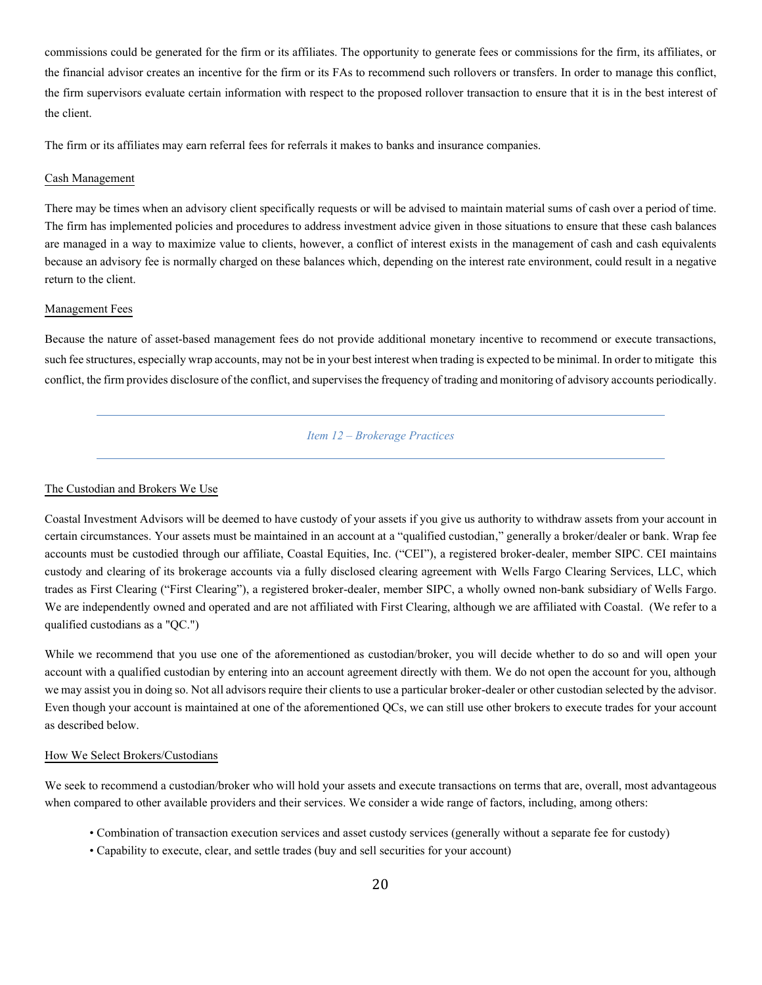commissions could be generated for the firm or its affiliates. The opportunity to generate fees or commissions for the firm, its affiliates, or the financial advisor creates an incentive for the firm or its FAs to recommend such rollovers or transfers. In order to manage this conflict, the firm supervisors evaluate certain information with respect to the proposed rollover transaction to ensure that it is in the best interest of the client.

The firm or its affiliates may earn referral fees for referrals it makes to banks and insurance companies.

#### Cash Management

There may be times when an advisory client specifically requests or will be advised to maintain material sums of cash over a period of time. The firm has implemented policies and procedures to address investment advice given in those situations to ensure that these cash balances are managed in a way to maximize value to clients, however, a conflict of interest exists in the management of cash and cash equivalents because an advisory fee is normally charged on these balances which, depending on the interest rate environment, could result in a negative return to the client.

#### Management Fees

<span id="page-22-0"></span>Because the nature of asset-based management fees do not provide additional monetary incentive to recommend or execute transactions, such fee structures, especially wrap accounts, may not be in your best interest when trading is expected to be minimal. In order to mitigate this conflict, the firm provides disclosure of the conflict, and supervises the frequency of trading and monitoring of advisory accounts periodically.

*Item 12 – Brokerage Practices*

#### The Custodian and Brokers We Use

Coastal Investment Advisors will be deemed to have custody of your assets if you give us authority to withdraw assets from your account in certain circumstances. Your assets must be maintained in an account at a "qualified custodian," generally a broker/dealer or bank. Wrap fee accounts must be custodied through our affiliate, Coastal Equities, Inc. ("CEI"), a registered broker-dealer, member SIPC. CEI maintains custody and clearing of its brokerage accounts via a fully disclosed clearing agreement with Wells Fargo Clearing Services, LLC, which trades as First Clearing ("First Clearing"), a registered broker-dealer, member SIPC, a wholly owned non-bank subsidiary of Wells Fargo. We are independently owned and operated and are not affiliated with First Clearing, although we are affiliated with Coastal. (We refer to a qualified custodians as a "QC.")

While we recommend that you use one of the aforementioned as custodian/broker, you will decide whether to do so and will open your account with a qualified custodian by entering into an account agreement directly with them. We do not open the account for you, although we may assist you in doing so. Not all advisors require their clients to use a particular broker-dealer or other custodian selected by the advisor. Even though your account is maintained at one of the aforementioned QCs, we can still use other brokers to execute trades for your account as described below.

#### How We Select Brokers/Custodians

We seek to recommend a custodian/broker who will hold your assets and execute transactions on terms that are, overall, most advantageous when compared to other available providers and their services. We consider a wide range of factors, including, among others:

- Combination of transaction execution services and asset custody services (generally without a separate fee for custody)
- Capability to execute, clear, and settle trades (buy and sell securities for your account)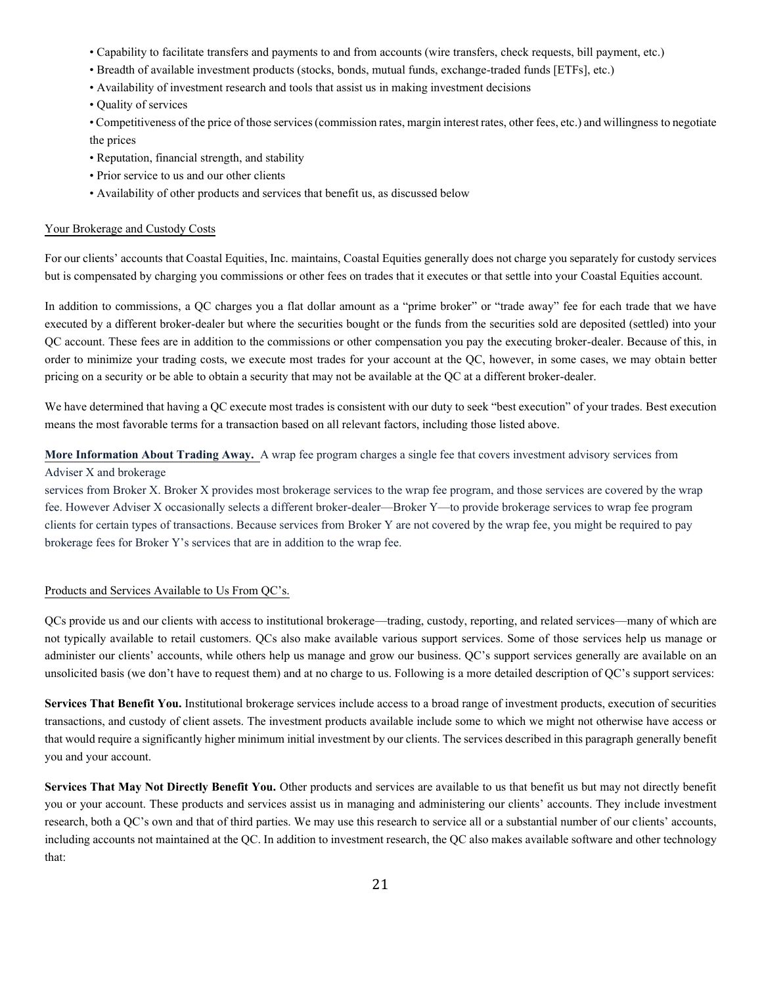- Capability to facilitate transfers and payments to and from accounts (wire transfers, check requests, bill payment, etc.)
- Breadth of available investment products (stocks, bonds, mutual funds, exchange-traded funds [ETFs], etc.)
- Availability of investment research and tools that assist us in making investment decisions
- Quality of services

• Competitiveness of the price of those services (commission rates, margin interest rates, other fees, etc.) and willingness to negotiate the prices

- Reputation, financial strength, and stability
- Prior service to us and our other clients
- Availability of other products and services that benefit us, as discussed below

### Your Brokerage and Custody Costs

For our clients' accounts that Coastal Equities, Inc. maintains, Coastal Equities generally does not charge you separately for custody services but is compensated by charging you commissions or other fees on trades that it executes or that settle into your Coastal Equities account.

In addition to commissions, a QC charges you a flat dollar amount as a "prime broker" or "trade away" fee for each trade that we have executed by a different broker-dealer but where the securities bought or the funds from the securities sold are deposited (settled) into your QC account. These fees are in addition to the commissions or other compensation you pay the executing broker-dealer. Because of this, in order to minimize your trading costs, we execute most trades for your account at the QC, however, in some cases, we may obtain better pricing on a security or be able to obtain a security that may not be available at the QC at a different broker-dealer.

We have determined that having a QC execute most trades is consistent with our duty to seek "best execution" of your trades. Best execution means the most favorable terms for a transaction based on all relevant factors, including those listed above.

**More Information About Trading Away.** A wrap fee program charges a single fee that covers investment advisory services from

# Adviser X and brokerage

services from Broker X. Broker X provides most brokerage services to the wrap fee program, and those services are covered by the wrap fee. However Adviser X occasionally selects a different broker-dealer—Broker Y—to provide brokerage services to wrap fee program clients for certain types of transactions. Because services from Broker Y are not covered by the wrap fee, you might be required to pay brokerage fees for Broker Y's services that are in addition to the wrap fee.

# Products and Services Available to Us From QC's.

QCs provide us and our clients with access to institutional brokerage—trading, custody, reporting, and related services—many of which are not typically available to retail customers. QCs also make available various support services. Some of those services help us manage or administer our clients' accounts, while others help us manage and grow our business. QC's support services generally are available on an unsolicited basis (we don't have to request them) and at no charge to us. Following is a more detailed description of QC's support services:

**Services That Benefit You.** Institutional brokerage services include access to a broad range of investment products, execution of securities transactions, and custody of client assets. The investment products available include some to which we might not otherwise have access or that would require a significantly higher minimum initial investment by our clients. The services described in this paragraph generally benefit you and your account.

**Services That May Not Directly Benefit You.** Other products and services are available to us that benefit us but may not directly benefit you or your account. These products and services assist us in managing and administering our clients' accounts. They include investment research, both a QC's own and that of third parties. We may use this research to service all or a substantial number of our clients' accounts, including accounts not maintained at the QC. In addition to investment research, the QC also makes available software and other technology that: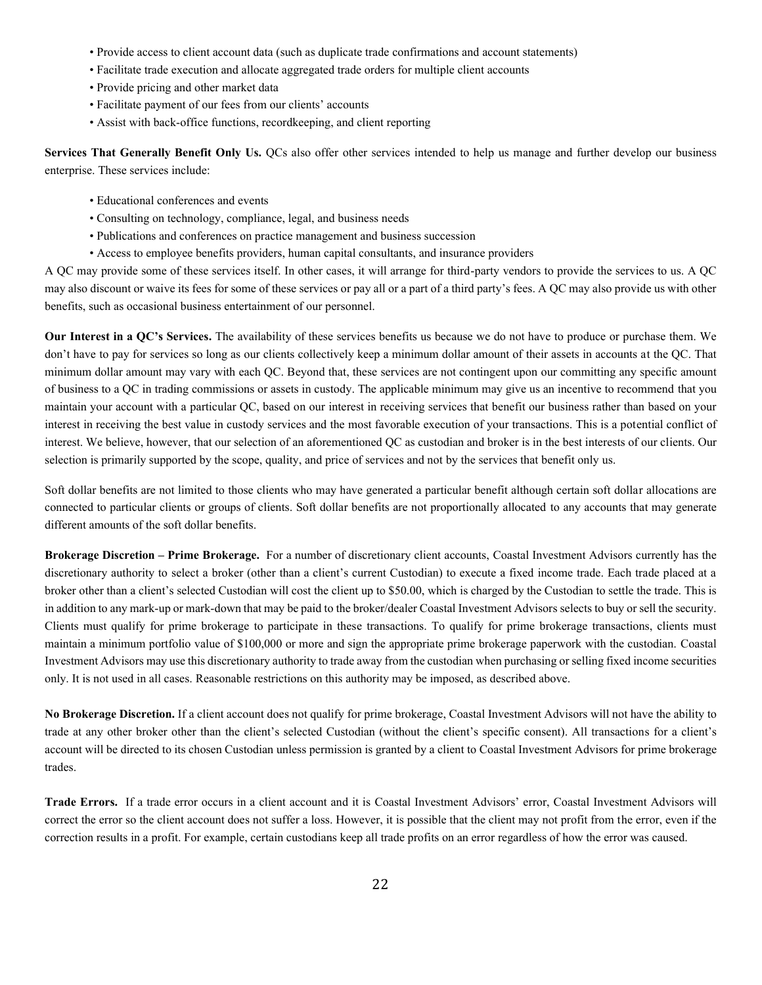- Provide access to client account data (such as duplicate trade confirmations and account statements)
- Facilitate trade execution and allocate aggregated trade orders for multiple client accounts
- Provide pricing and other market data
- Facilitate payment of our fees from our clients' accounts
- Assist with back-office functions, recordkeeping, and client reporting

**Services That Generally Benefit Only Us.** QCs also offer other services intended to help us manage and further develop our business enterprise. These services include:

- Educational conferences and events
- Consulting on technology, compliance, legal, and business needs
- Publications and conferences on practice management and business succession
- Access to employee benefits providers, human capital consultants, and insurance providers

A QC may provide some of these services itself. In other cases, it will arrange for third-party vendors to provide the services to us. A QC may also discount or waive its fees for some of these services or pay all or a part of a third party's fees. A QC may also provide us with other benefits, such as occasional business entertainment of our personnel.

**Our Interest in a QC's Services.** The availability of these services benefits us because we do not have to produce or purchase them. We don't have to pay for services so long as our clients collectively keep a minimum dollar amount of their assets in accounts at the QC. That minimum dollar amount may vary with each QC. Beyond that, these services are not contingent upon our committing any specific amount of business to a QC in trading commissions or assets in custody. The applicable minimum may give us an incentive to recommend that you maintain your account with a particular QC, based on our interest in receiving services that benefit our business rather than based on your interest in receiving the best value in custody services and the most favorable execution of your transactions. This is a potential conflict of interest. We believe, however, that our selection of an aforementioned QC as custodian and broker is in the best interests of our clients. Our selection is primarily supported by the scope, quality, and price of services and not by the services that benefit only us.

Soft dollar benefits are not limited to those clients who may have generated a particular benefit although certain soft dollar allocations are connected to particular clients or groups of clients. Soft dollar benefits are not proportionally allocated to any accounts that may generate different amounts of the soft dollar benefits.

**Brokerage Discretion – Prime Brokerage.** For a number of discretionary client accounts, Coastal Investment Advisors currently has the discretionary authority to select a broker (other than a client's current Custodian) to execute a fixed income trade. Each trade placed at a broker other than a client's selected Custodian will cost the client up to \$50.00, which is charged by the Custodian to settle the trade. This is in addition to any mark-up or mark-down that may be paid to the broker/dealer Coastal Investment Advisors selects to buy or sell the security. Clients must qualify for prime brokerage to participate in these transactions. To qualify for prime brokerage transactions, clients must maintain a minimum portfolio value of \$100,000 or more and sign the appropriate prime brokerage paperwork with the custodian. Coastal Investment Advisors may use this discretionary authority to trade away from the custodian when purchasing or selling fixed income securities only. It is not used in all cases. Reasonable restrictions on this authority may be imposed, as described above.

**No Brokerage Discretion.** If a client account does not qualify for prime brokerage, Coastal Investment Advisors will not have the ability to trade at any other broker other than the client's selected Custodian (without the client's specific consent). All transactions for a client's account will be directed to its chosen Custodian unless permission is granted by a client to Coastal Investment Advisors for prime brokerage trades.

**Trade Errors.** If a trade error occurs in a client account and it is Coastal Investment Advisors' error, Coastal Investment Advisors will correct the error so the client account does not suffer a loss. However, it is possible that the client may not profit from the error, even if the correction results in a profit. For example, certain custodians keep all trade profits on an error regardless of how the error was caused.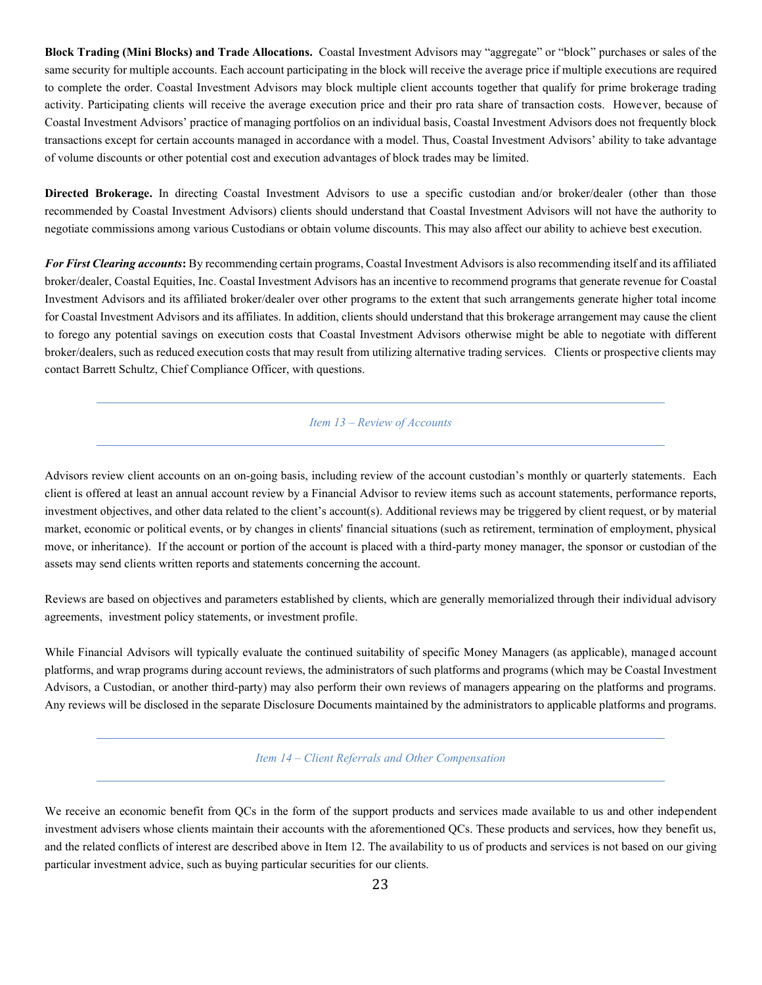**Block Trading (Mini Blocks) and Trade Allocations.** Coastal Investment Advisors may "aggregate" or "block" purchases or sales of the same security for multiple accounts. Each account participating in the block will receive the average price if multiple executions are required to complete the order. Coastal Investment Advisors may block multiple client accounts together that qualify for prime brokerage trading activity. Participating clients will receive the average execution price and their pro rata share of transaction costs. However, because of Coastal Investment Advisors' practice of managing portfolios on an individual basis, Coastal Investment Advisors does not frequently block transactions except for certain accounts managed in accordance with a model. Thus, Coastal Investment Advisors' ability to take advantage of volume discounts or other potential cost and execution advantages of block trades may be limited.

**Directed Brokerage.** In directing Coastal Investment Advisors to use a specific custodian and/or broker/dealer (other than those recommended by Coastal Investment Advisors) clients should understand that Coastal Investment Advisors will not have the authority to negotiate commissions among various Custodians or obtain volume discounts. This may also affect our ability to achieve best execution.

*For First Clearing accounts***:** By recommending certain programs, Coastal Investment Advisors is also recommending itself and its affiliated broker/dealer, Coastal Equities, Inc. Coastal Investment Advisors has an incentive to recommend programs that generate revenue for Coastal Investment Advisors and its affiliated broker/dealer over other programs to the extent that such arrangements generate higher total income for Coastal Investment Advisors and its affiliates. In addition, clients should understand that this brokerage arrangement may cause the client to forego any potential savings on execution costs that Coastal Investment Advisors otherwise might be able to negotiate with different broker/dealers, such as reduced execution costs that may result from utilizing alternative trading services. Clients or prospective clients may contact Barrett Schultz, Chief Compliance Officer, with questions.

# <span id="page-25-0"></span>*Item 13 – Review of Accounts*

Advisors review client accounts on an on-going basis, including review of the account custodian's monthly or quarterly statements. Each client is offered at least an annual account review by a Financial Advisor to review items such as account statements, performance reports, investment objectives, and other data related to the client's account(s). Additional reviews may be triggered by client request, or by material market, economic or political events, or by changes in clients' financial situations (such as retirement, termination of employment, physical move, or inheritance). If the account or portion of the account is placed with a third-party money manager, the sponsor or custodian of the assets may send clients written reports and statements concerning the account.

Reviews are based on objectives and parameters established by clients, which are generally memorialized through their individual advisory agreements, investment policy statements, or investment profile.

While Financial Advisors will typically evaluate the continued suitability of specific Money Managers (as applicable), managed account platforms, and wrap programs during account reviews, the administrators of such platforms and programs (which may be Coastal Investment Advisors, a Custodian, or another third-party) may also perform their own reviews of managers appearing on the platforms and programs. Any reviews will be disclosed in the separate Disclosure Documents maintained by the administrators to applicable platforms and programs.

*Item 14 – Client Referrals and Other Compensation*

<span id="page-25-1"></span>We receive an economic benefit from QCs in the form of the support products and services made available to us and other independent investment advisers whose clients maintain their accounts with the aforementioned QCs. These products and services, how they benefit us, and the related conflicts of interest are described above in Item 12. The availability to us of products and services is not based on our giving particular investment advice, such as buying particular securities for our clients.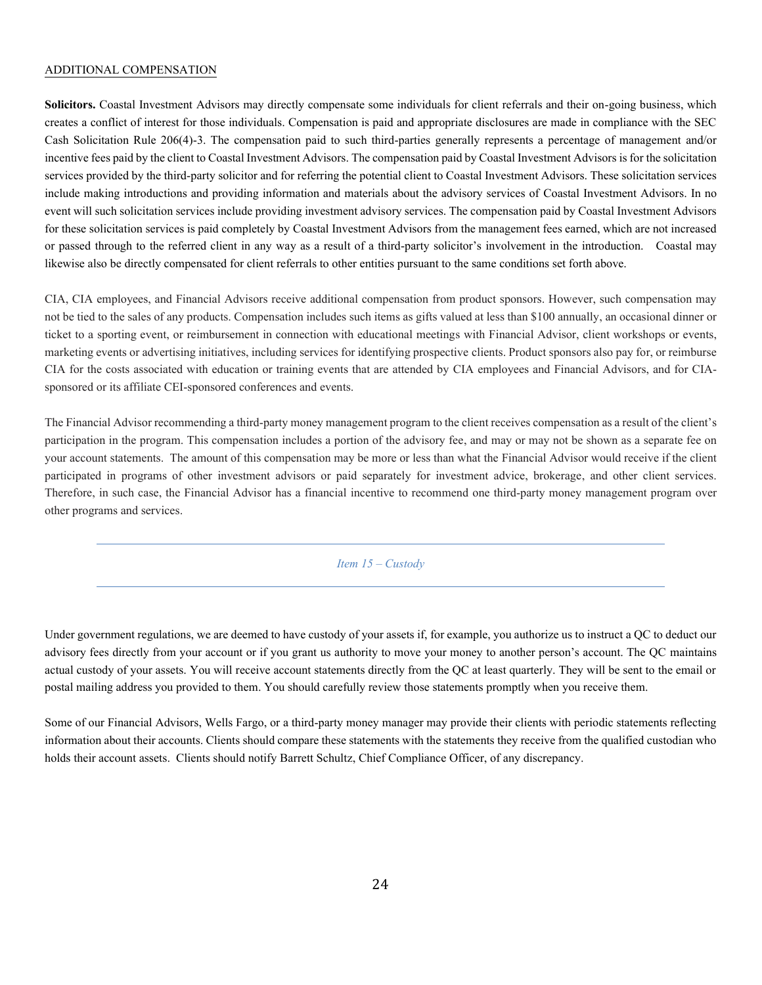#### ADDITIONAL COMPENSATION

**Solicitors.** Coastal Investment Advisors may directly compensate some individuals for client referrals and their on-going business, which creates a conflict of interest for those individuals. Compensation is paid and appropriate disclosures are made in compliance with the SEC Cash Solicitation Rule 206(4)-3. The compensation paid to such third-parties generally represents a percentage of management and/or incentive fees paid by the client to Coastal Investment Advisors. The compensation paid by Coastal Investment Advisors is for the solicitation services provided by the third-party solicitor and for referring the potential client to Coastal Investment Advisors. These solicitation services include making introductions and providing information and materials about the advisory services of Coastal Investment Advisors. In no event will such solicitation services include providing investment advisory services. The compensation paid by Coastal Investment Advisors for these solicitation services is paid completely by Coastal Investment Advisors from the management fees earned, which are not increased or passed through to the referred client in any way as a result of a third-party solicitor's involvement in the introduction. Coastal may likewise also be directly compensated for client referrals to other entities pursuant to the same conditions set forth above.

CIA, CIA employees, and Financial Advisors receive additional compensation from product sponsors. However, such compensation may not be tied to the sales of any products. Compensation includes such items as gifts valued at less than \$100 annually, an occasional dinner or ticket to a sporting event, or reimbursement in connection with educational meetings with Financial Advisor, client workshops or events, marketing events or advertising initiatives, including services for identifying prospective clients. Product sponsors also pay for, or reimburse CIA for the costs associated with education or training events that are attended by CIA employees and Financial Advisors, and for CIAsponsored or its affiliate CEI-sponsored conferences and events.

<span id="page-26-0"></span>The Financial Advisor recommending a third-party money management program to the client receives compensation as a result of the client's participation in the program. This compensation includes a portion of the advisory fee, and may or may not be shown as a separate fee on your account statements. The amount of this compensation may be more or less than what the Financial Advisor would receive if the client participated in programs of other investment advisors or paid separately for investment advice, brokerage, and other client services. Therefore, in such case, the Financial Advisor has a financial incentive to recommend one third-party money management program over other programs and services.

*Item 15 – Custody*

Under government regulations, we are deemed to have custody of your assets if, for example, you authorize us to instruct a QC to deduct our advisory fees directly from your account or if you grant us authority to move your money to another person's account. The QC maintains actual custody of your assets. You will receive account statements directly from the QC at least quarterly. They will be sent to the email or postal mailing address you provided to them. You should carefully review those statements promptly when you receive them.

Some of our Financial Advisors, Wells Fargo, or a third-party money manager may provide their clients with periodic statements reflecting information about their accounts. Clients should compare these statements with the statements they receive from the qualified custodian who holds their account assets. Clients should notify Barrett Schultz, Chief Compliance Officer, of any discrepancy.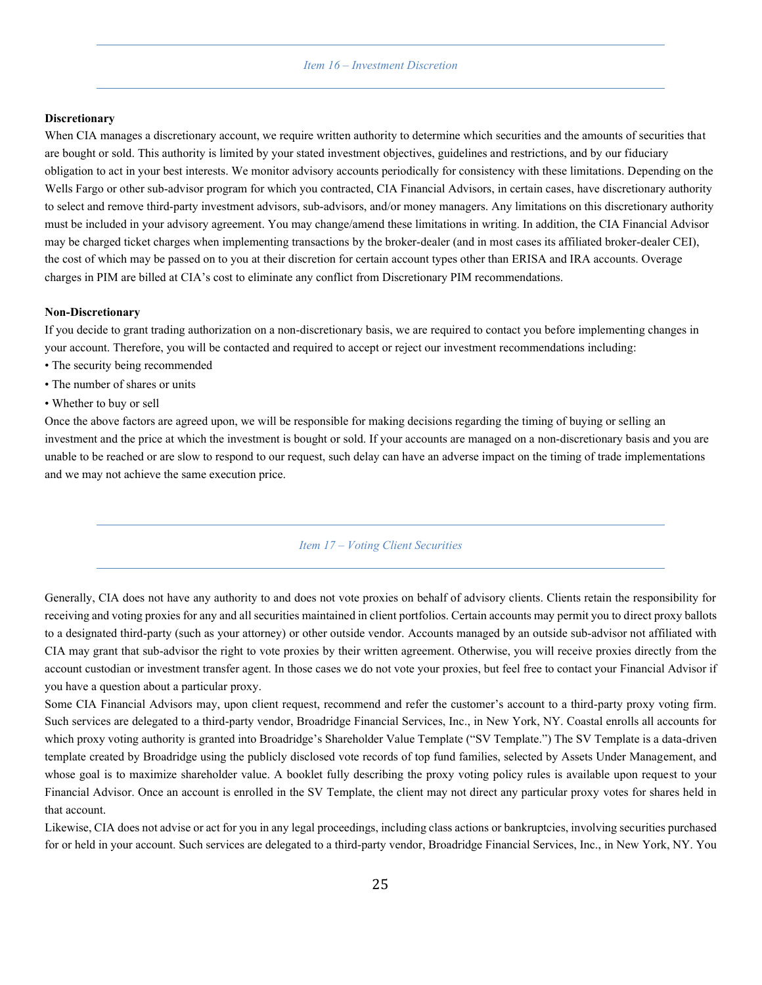#### *Item 16 – Investment Discretion*

#### <span id="page-27-0"></span>**Discretionary**

When CIA manages a discretionary account, we require written authority to determine which securities and the amounts of securities that are bought or sold. This authority is limited by your stated investment objectives, guidelines and restrictions, and by our fiduciary obligation to act in your best interests. We monitor advisory accounts periodically for consistency with these limitations. Depending on the Wells Fargo or other sub-advisor program for which you contracted, CIA Financial Advisors, in certain cases, have discretionary authority to select and remove third-party investment advisors, sub-advisors, and/or money managers. Any limitations on this discretionary authority must be included in your advisory agreement. You may change/amend these limitations in writing. In addition, the CIA Financial Advisor may be charged ticket charges when implementing transactions by the broker-dealer (and in most cases its affiliated broker-dealer CEI), the cost of which may be passed on to you at their discretion for certain account types other than ERISA and IRA accounts. Overage charges in PIM are billed at CIA's cost to eliminate any conflict from Discretionary PIM recommendations.

#### **Non-Discretionary**

If you decide to grant trading authorization on a non-discretionary basis, we are required to contact you before implementing changes in your account. Therefore, you will be contacted and required to accept or reject our investment recommendations including:

- The security being recommended
- The number of shares or units
- Whether to buy or sell

<span id="page-27-1"></span>Once the above factors are agreed upon, we will be responsible for making decisions regarding the timing of buying or selling an investment and the price at which the investment is bought or sold. If your accounts are managed on a non-discretionary basis and you are unable to be reached or are slow to respond to our request, such delay can have an adverse impact on the timing of trade implementations and we may not achieve the same execution price.

# *Item 17 – Voting Client Securities*

Generally, CIA does not have any authority to and does not vote proxies on behalf of advisory clients. Clients retain the responsibility for receiving and voting proxies for any and all securities maintained in client portfolios. Certain accounts may permit you to direct proxy ballots to a designated third-party (such as your attorney) or other outside vendor. Accounts managed by an outside sub-advisor not affiliated with CIA may grant that sub-advisor the right to vote proxies by their written agreement. Otherwise, you will receive proxies directly from the account custodian or investment transfer agent. In those cases we do not vote your proxies, but feel free to contact your Financial Advisor if you have a question about a particular proxy.

Some CIA Financial Advisors may, upon client request, recommend and refer the customer's account to a third-party proxy voting firm. Such services are delegated to a third-party vendor, Broadridge Financial Services, Inc., in New York, NY. Coastal enrolls all accounts for which proxy voting authority is granted into Broadridge's Shareholder Value Template ("SV Template.") The SV Template is a data-driven template created by Broadridge using the publicly disclosed vote records of top fund families, selected by Assets Under Management, and whose goal is to maximize shareholder value. A booklet fully describing the proxy voting policy rules is available upon request to your Financial Advisor. Once an account is enrolled in the SV Template, the client may not direct any particular proxy votes for shares held in that account.

Likewise, CIA does not advise or act for you in any legal proceedings, including class actions or bankruptcies, involving securities purchased for or held in your account. Such services are delegated to a third-party vendor, Broadridge Financial Services, Inc., in New York, NY. You